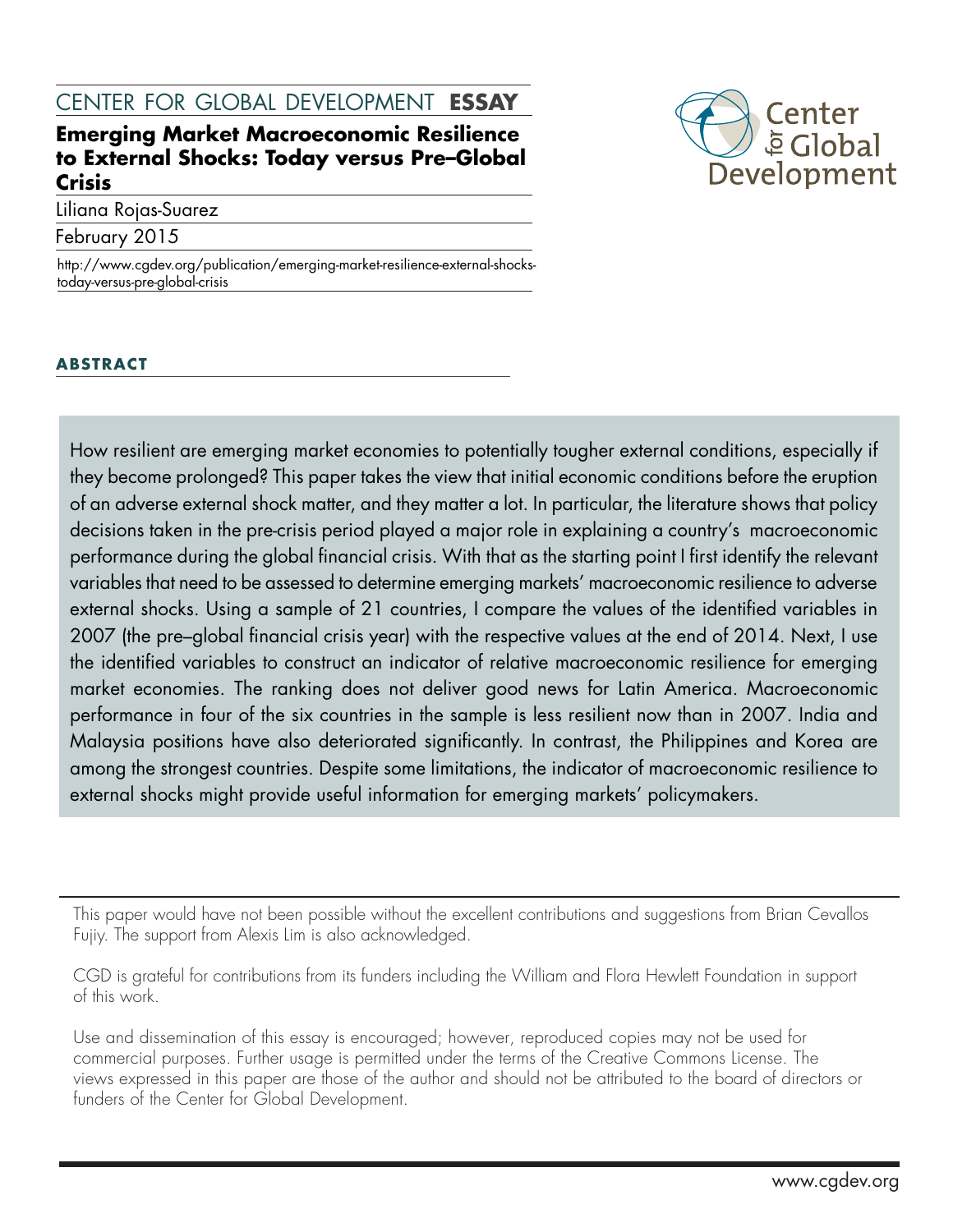# center for global development **essay**

# **Emerging Market Macroeconomic Resilience to External Shocks: Today versus Pre–Global Crisis**

Liliana Rojas-Suarez

February 2015

http://www.cgdev.org/publication/emerging-market-resilience-external-shockstoday-versus-pre-global-crisis

# **abstract**



How resilient are emerging market economies to potentially tougher external conditions, especially if they become prolonged? This paper takes the view that initial economic conditions before the eruption of an adverse external shock matter, and they matter a lot. In particular, the literature shows that policy decisions taken in the pre-crisis period played a major role in explaining a country's macroeconomic performance during the global financial crisis. With that as the starting point I first identify the relevant variables that need to be assessed to determine emerging markets' macroeconomic resilience to adverse external shocks. Using a sample of 21 countries, I compare the values of the identified variables in 2007 (the pre–global financial crisis year) with the respective values at the end of 2014. Next, I use the identified variables to construct an indicator of relative macroeconomic resilience for emerging market economies. The ranking does not deliver good news for Latin America. Macroeconomic performance in four of the six countries in the sample is less resilient now than in 2007. India and Malaysia positions have also deteriorated significantly. In contrast, the Philippines and Korea are among the strongest countries. Despite some limitations, the indicator of macroeconomic resilience to external shocks might provide useful information for emerging markets' policymakers.

This paper would have not been possible without the excellent contributions and suggestions from Brian Cevallos Fujiy. The support from Alexis Lim is also acknowledged.

CGD is grateful for contributions from its funders including the William and Flora Hewlett Foundation in support of this work.

Use and dissemination of this essay is encouraged; however, reproduced copies may not be used for commercial purposes. Further usage is permitted under the terms of the Creative Commons License. The views expressed in this paper are those of the author and should not be attributed to the board of directors or funders of the Center for Global Development.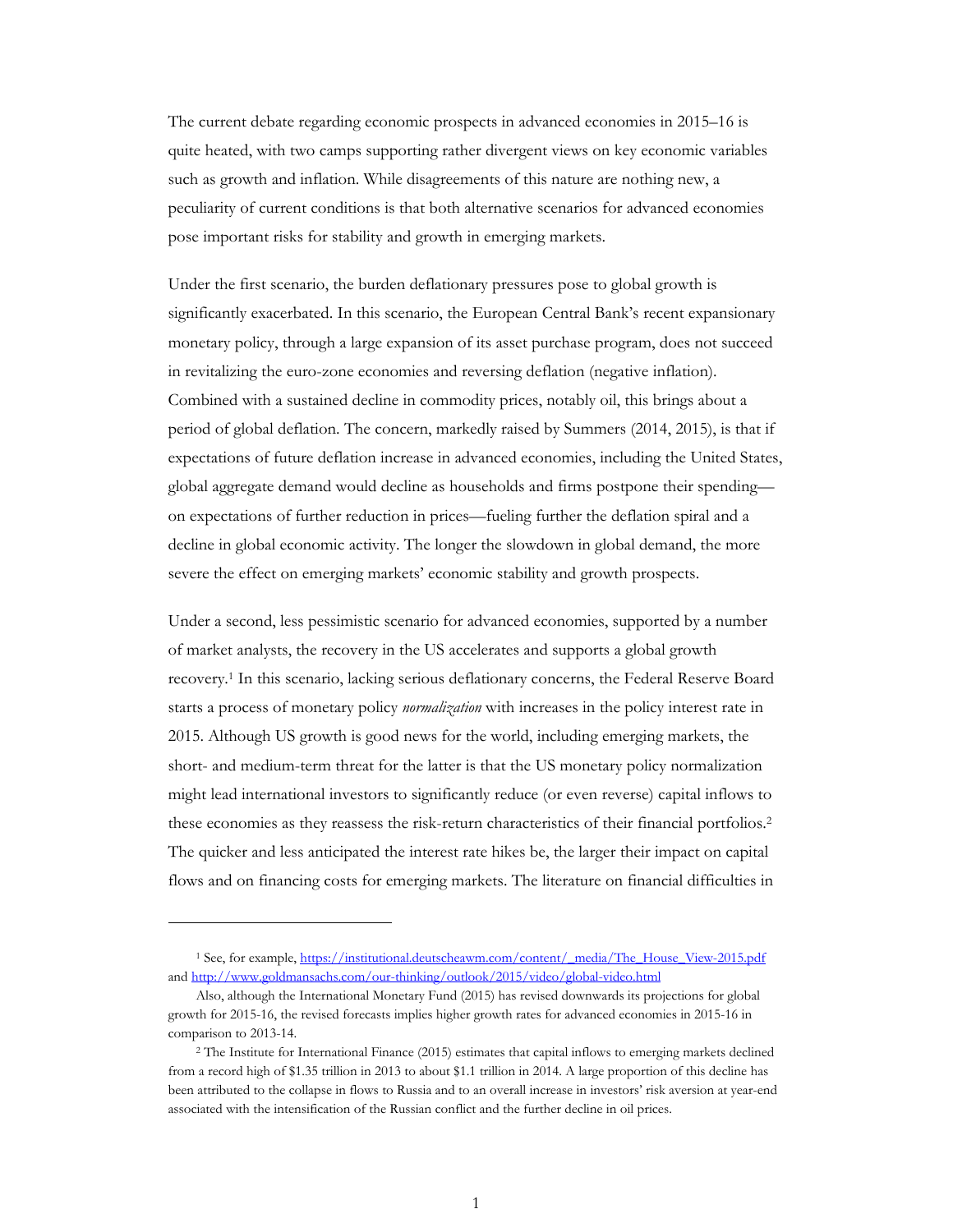The current debate regarding economic prospects in advanced economies in 2015–16 is quite heated, with two camps supporting rather divergent views on key economic variables such as growth and inflation. While disagreements of this nature are nothing new, a peculiarity of current conditions is that both alternative scenarios for advanced economies pose important risks for stability and growth in emerging markets.

Under the first scenario, the burden deflationary pressures pose to global growth is significantly exacerbated. In this scenario, the European Central Bank's recent expansionary monetary policy, through a large expansion of its asset purchase program, does not succeed in revitalizing the euro-zone economies and reversing deflation (negative inflation). Combined with a sustained decline in commodity prices, notably oil, this brings about a period of global deflation. The concern, markedly raised by Summers (2014, 2015), is that if expectations of future deflation increase in advanced economies, including the United States, global aggregate demand would decline as households and firms postpone their spending on expectations of further reduction in prices—fueling further the deflation spiral and a decline in global economic activity. The longer the slowdown in global demand, the more severe the effect on emerging markets' economic stability and growth prospects.

Under a second, less pessimistic scenario for advanced economies, supported by a number of market analysts, the recovery in the US accelerates and supports a global growth recovery.1 In this scenario, lacking serious deflationary concerns, the Federal Reserve Board starts a process of monetary policy *normalization* with increases in the policy interest rate in 2015. Although US growth is good news for the world, including emerging markets, the short- and medium-term threat for the latter is that the US monetary policy normalization might lead international investors to significantly reduce (or even reverse) capital inflows to these economies as they reassess the risk-return characteristics of their financial portfolios.2 The quicker and less anticipated the interest rate hikes be, the larger their impact on capital flows and on financing costs for emerging markets. The literature on financial difficulties in

 $\overline{a}$ 

<sup>&</sup>lt;sup>1</sup> See, for example, https://institutional.deutscheawm.com/content/\_media/The\_House\_View-2015.pdf and http://www.goldmansachs.com/our-thinking/outlook/2015/video/global-video.html

Also, although the International Monetary Fund (2015) has revised downwards its projections for global growth for 2015-16, the revised forecasts implies higher growth rates for advanced economies in 2015-16 in comparison to 2013-14.

<sup>2</sup> The Institute for International Finance (2015) estimates that capital inflows to emerging markets declined from a record high of \$1.35 trillion in 2013 to about \$1.1 trillion in 2014. A large proportion of this decline has been attributed to the collapse in flows to Russia and to an overall increase in investors' risk aversion at year-end associated with the intensification of the Russian conflict and the further decline in oil prices.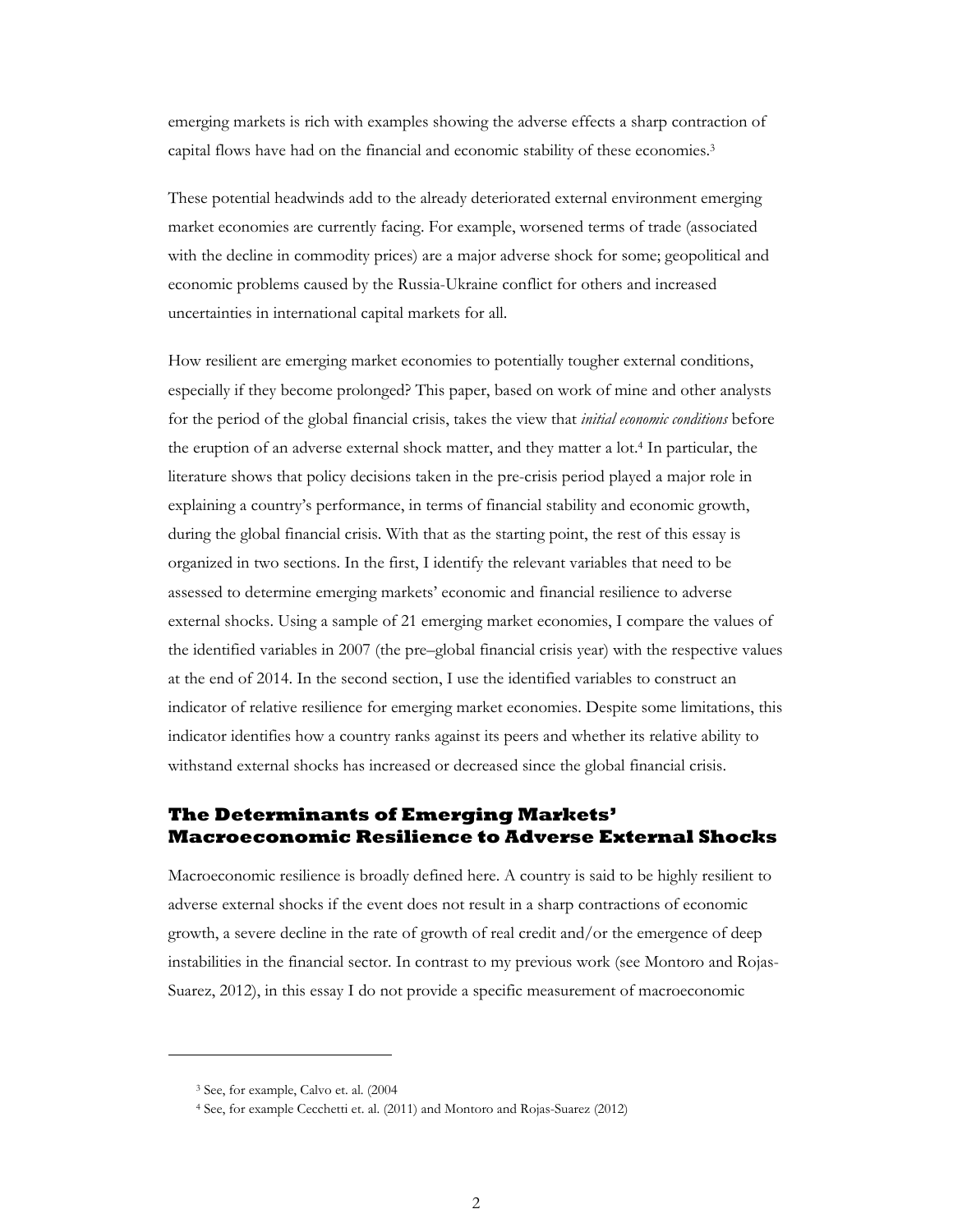emerging markets is rich with examples showing the adverse effects a sharp contraction of capital flows have had on the financial and economic stability of these economies.3

These potential headwinds add to the already deteriorated external environment emerging market economies are currently facing. For example, worsened terms of trade (associated with the decline in commodity prices) are a major adverse shock for some; geopolitical and economic problems caused by the Russia-Ukraine conflict for others and increased uncertainties in international capital markets for all.

How resilient are emerging market economies to potentially tougher external conditions, especially if they become prolonged? This paper, based on work of mine and other analysts for the period of the global financial crisis, takes the view that *initial economic conditions* before the eruption of an adverse external shock matter, and they matter a lot.4 In particular, the literature shows that policy decisions taken in the pre-crisis period played a major role in explaining a country's performance, in terms of financial stability and economic growth, during the global financial crisis. With that as the starting point, the rest of this essay is organized in two sections. In the first, I identify the relevant variables that need to be assessed to determine emerging markets' economic and financial resilience to adverse external shocks. Using a sample of 21 emerging market economies, I compare the values of the identified variables in 2007 (the pre–global financial crisis year) with the respective values at the end of 2014. In the second section, I use the identified variables to construct an indicator of relative resilience for emerging market economies. Despite some limitations, this indicator identifies how a country ranks against its peers and whether its relative ability to withstand external shocks has increased or decreased since the global financial crisis.

# **The Determinants of Emerging Markets' Macroeconomic Resilience to Adverse External Shocks**

Macroeconomic resilience is broadly defined here. A country is said to be highly resilient to adverse external shocks if the event does not result in a sharp contractions of economic growth, a severe decline in the rate of growth of real credit and/or the emergence of deep instabilities in the financial sector. In contrast to my previous work (see Montoro and Rojas-Suarez, 2012), in this essay I do not provide a specific measurement of macroeconomic

 $\overline{a}$ 

<sup>3</sup> See, for example, Calvo et. al. (2004

<sup>4</sup> See, for example Cecchetti et. al. (2011) and Montoro and Rojas-Suarez (2012)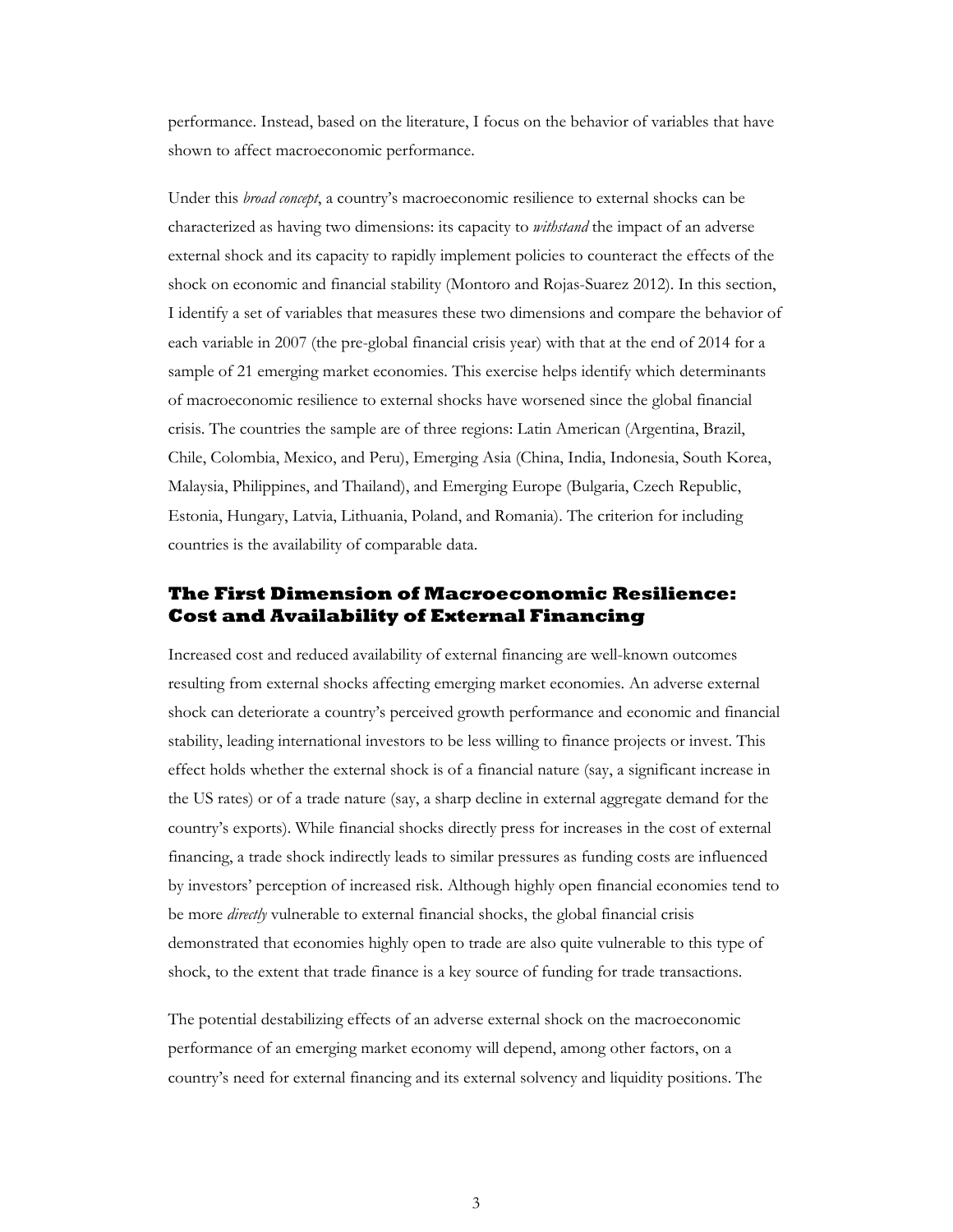performance. Instead, based on the literature, I focus on the behavior of variables that have shown to affect macroeconomic performance.

Under this *broad concept*, a country's macroeconomic resilience to external shocks can be characterized as having two dimensions: its capacity to *withstand* the impact of an adverse external shock and its capacity to rapidly implement policies to counteract the effects of the shock on economic and financial stability (Montoro and Rojas-Suarez 2012). In this section, I identify a set of variables that measures these two dimensions and compare the behavior of each variable in 2007 (the pre-global financial crisis year) with that at the end of 2014 for a sample of 21 emerging market economies. This exercise helps identify which determinants of macroeconomic resilience to external shocks have worsened since the global financial crisis. The countries the sample are of three regions: Latin American (Argentina, Brazil, Chile, Colombia, Mexico, and Peru), Emerging Asia (China, India, Indonesia, South Korea, Malaysia, Philippines, and Thailand), and Emerging Europe (Bulgaria, Czech Republic, Estonia, Hungary, Latvia, Lithuania, Poland, and Romania). The criterion for including countries is the availability of comparable data.

# **The First Dimension of Macroeconomic Resilience: Cost and Availability of External Financing**

Increased cost and reduced availability of external financing are well-known outcomes resulting from external shocks affecting emerging market economies. An adverse external shock can deteriorate a country's perceived growth performance and economic and financial stability, leading international investors to be less willing to finance projects or invest. This effect holds whether the external shock is of a financial nature (say, a significant increase in the US rates) or of a trade nature (say, a sharp decline in external aggregate demand for the country's exports). While financial shocks directly press for increases in the cost of external financing, a trade shock indirectly leads to similar pressures as funding costs are influenced by investors' perception of increased risk. Although highly open financial economies tend to be more *directly* vulnerable to external financial shocks, the global financial crisis demonstrated that economies highly open to trade are also quite vulnerable to this type of shock, to the extent that trade finance is a key source of funding for trade transactions.

The potential destabilizing effects of an adverse external shock on the macroeconomic performance of an emerging market economy will depend, among other factors, on a country's need for external financing and its external solvency and liquidity positions. The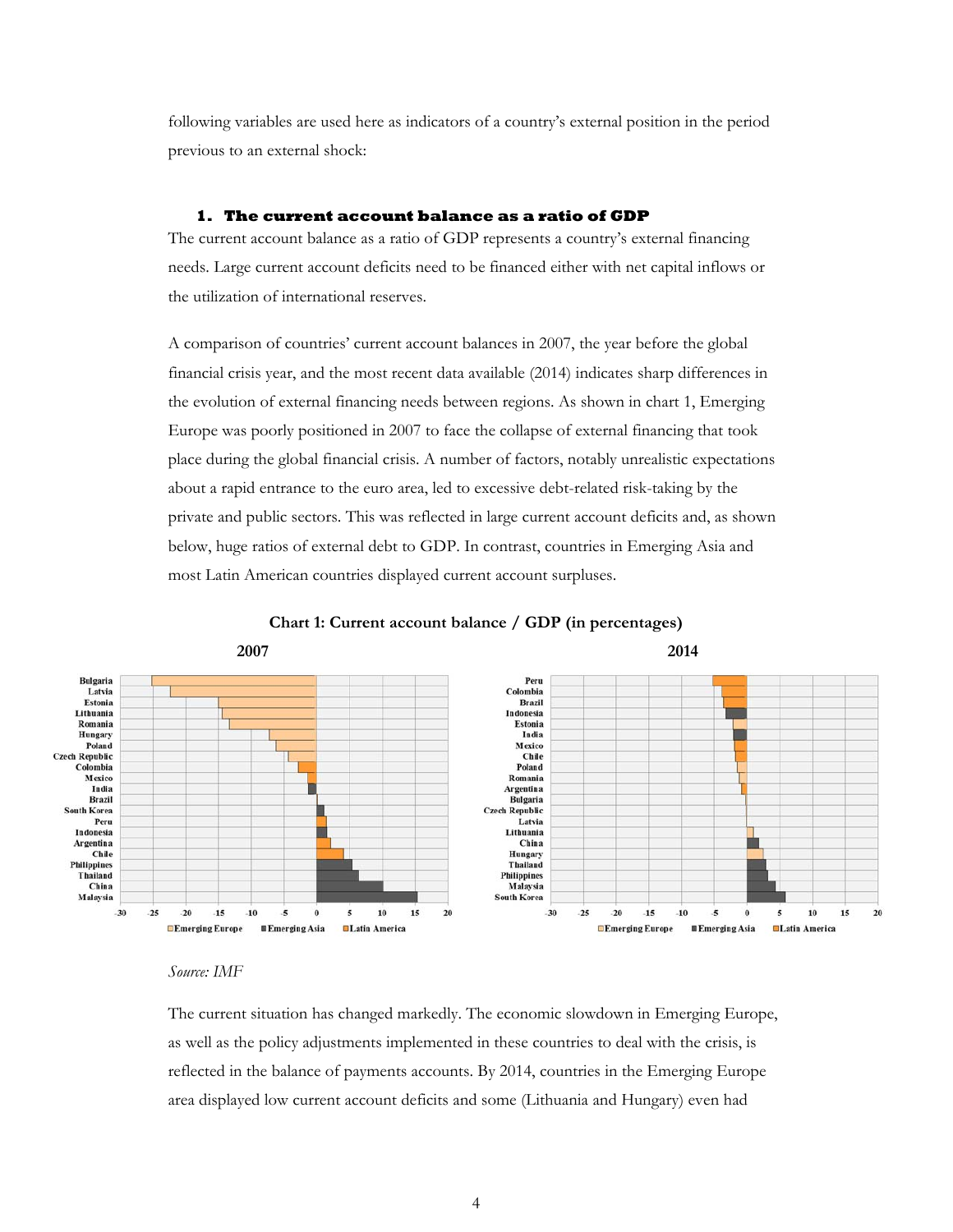following variables are used here as indicators of a country's external position in the period previous to an external shock:

#### **1. The current account balance as a ratio of GDP**

The current account balance as a ratio of GDP represents a country's external financing needs. Large current account deficits need to be financed either with net capital inflows or the utilization of international reserves.

A comparison of countries' current account balances in 2007, the year before the global financial crisis year, and the most recent data available (2014) indicates sharp differences in the evolution of external financing needs between regions. As shown in chart 1, Emerging Europe was poorly positioned in 2007 to face the collapse of external financing that took place during the global financial crisis. A number of factors, notably unrealistic expectations about a rapid entrance to the euro area, led to excessive debt-related risk-taking by the private and public sectors. This was reflected in large current account deficits and, as shown below, huge ratios of external debt to GDP. In contrast, countries in Emerging Asia and most Latin American countries displayed current account surpluses.



**Chart 1: Current account balance / GDP (in percentages)** 

#### *Source: IMF*

The current situation has changed markedly. The economic slowdown in Emerging Europe, as well as the policy adjustments implemented in these countries to deal with the crisis, is reflected in the balance of payments accounts. By 2014, countries in the Emerging Europe area displayed low current account deficits and some (Lithuania and Hungary) even had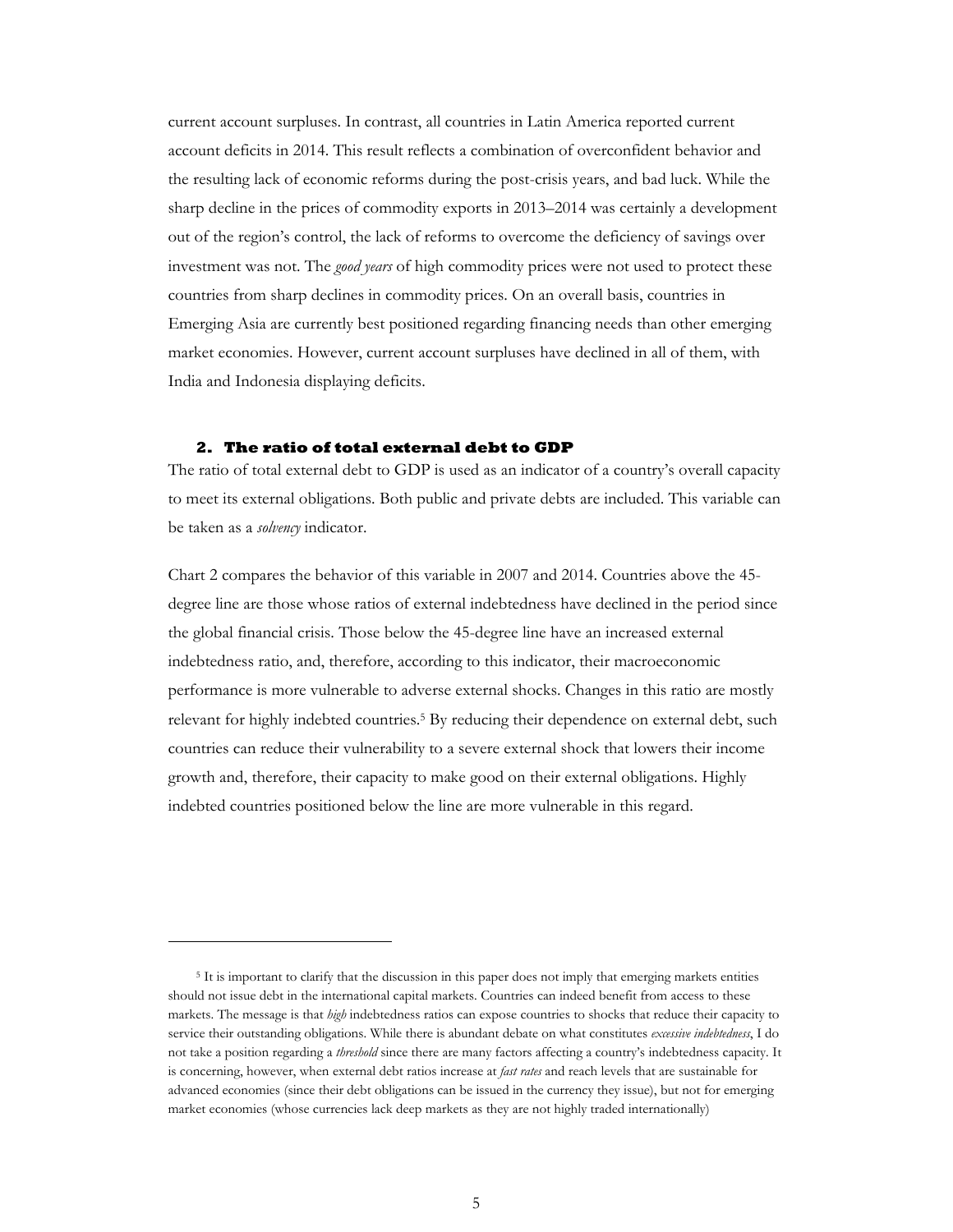current account surpluses. In contrast, all countries in Latin America reported current account deficits in 2014. This result reflects a combination of overconfident behavior and the resulting lack of economic reforms during the post-crisis years, and bad luck. While the sharp decline in the prices of commodity exports in 2013–2014 was certainly a development out of the region's control, the lack of reforms to overcome the deficiency of savings over investment was not. The *good years* of high commodity prices were not used to protect these countries from sharp declines in commodity prices. On an overall basis, countries in Emerging Asia are currently best positioned regarding financing needs than other emerging market economies. However, current account surpluses have declined in all of them, with India and Indonesia displaying deficits.

#### **2. The ratio of total external debt to GDP**

 $\overline{a}$ 

The ratio of total external debt to GDP is used as an indicator of a country's overall capacity to meet its external obligations. Both public and private debts are included. This variable can be taken as a *solvency* indicator.

Chart 2 compares the behavior of this variable in 2007 and 2014. Countries above the 45 degree line are those whose ratios of external indebtedness have declined in the period since the global financial crisis. Those below the 45-degree line have an increased external indebtedness ratio, and, therefore, according to this indicator, their macroeconomic performance is more vulnerable to adverse external shocks. Changes in this ratio are mostly relevant for highly indebted countries.5 By reducing their dependence on external debt, such countries can reduce their vulnerability to a severe external shock that lowers their income growth and, therefore, their capacity to make good on their external obligations. Highly indebted countries positioned below the line are more vulnerable in this regard.

<sup>5</sup> It is important to clarify that the discussion in this paper does not imply that emerging markets entities should not issue debt in the international capital markets. Countries can indeed benefit from access to these markets. The message is that *high* indebtedness ratios can expose countries to shocks that reduce their capacity to service their outstanding obligations. While there is abundant debate on what constitutes *excessive indebtedness*, I do not take a position regarding a *threshold* since there are many factors affecting a country's indebtedness capacity. It is concerning, however, when external debt ratios increase at *fast rates* and reach levels that are sustainable for advanced economies (since their debt obligations can be issued in the currency they issue), but not for emerging market economies (whose currencies lack deep markets as they are not highly traded internationally)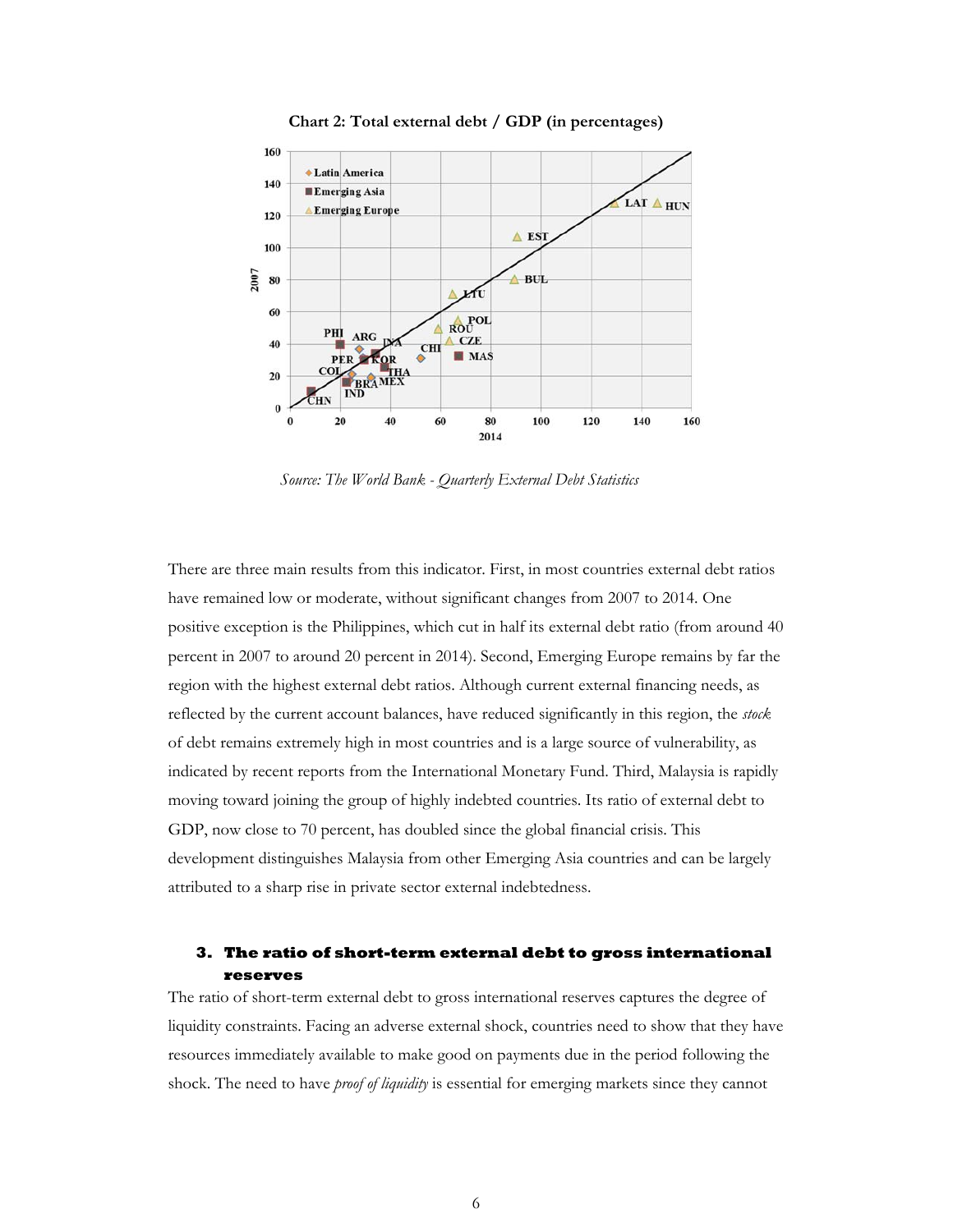

**Chart 2: Total external debt / GDP (in percentages)** 

*Source: The World Bank - Quarterly External Debt Statistics* 

There are three main results from this indicator. First, in most countries external debt ratios have remained low or moderate, without significant changes from 2007 to 2014. One positive exception is the Philippines, which cut in half its external debt ratio (from around 40 percent in 2007 to around 20 percent in 2014). Second, Emerging Europe remains by far the region with the highest external debt ratios. Although current external financing needs, as reflected by the current account balances, have reduced significantly in this region, the *stock* of debt remains extremely high in most countries and is a large source of vulnerability, as indicated by recent reports from the International Monetary Fund. Third, Malaysia is rapidly moving toward joining the group of highly indebted countries. Its ratio of external debt to GDP, now close to 70 percent, has doubled since the global financial crisis. This development distinguishes Malaysia from other Emerging Asia countries and can be largely attributed to a sharp rise in private sector external indebtedness.

## **3. The ratio of short-term external debt to gross international reserves**

The ratio of short-term external debt to gross international reserves captures the degree of liquidity constraints. Facing an adverse external shock, countries need to show that they have resources immediately available to make good on payments due in the period following the shock. The need to have *proof of liquidity* is essential for emerging markets since they cannot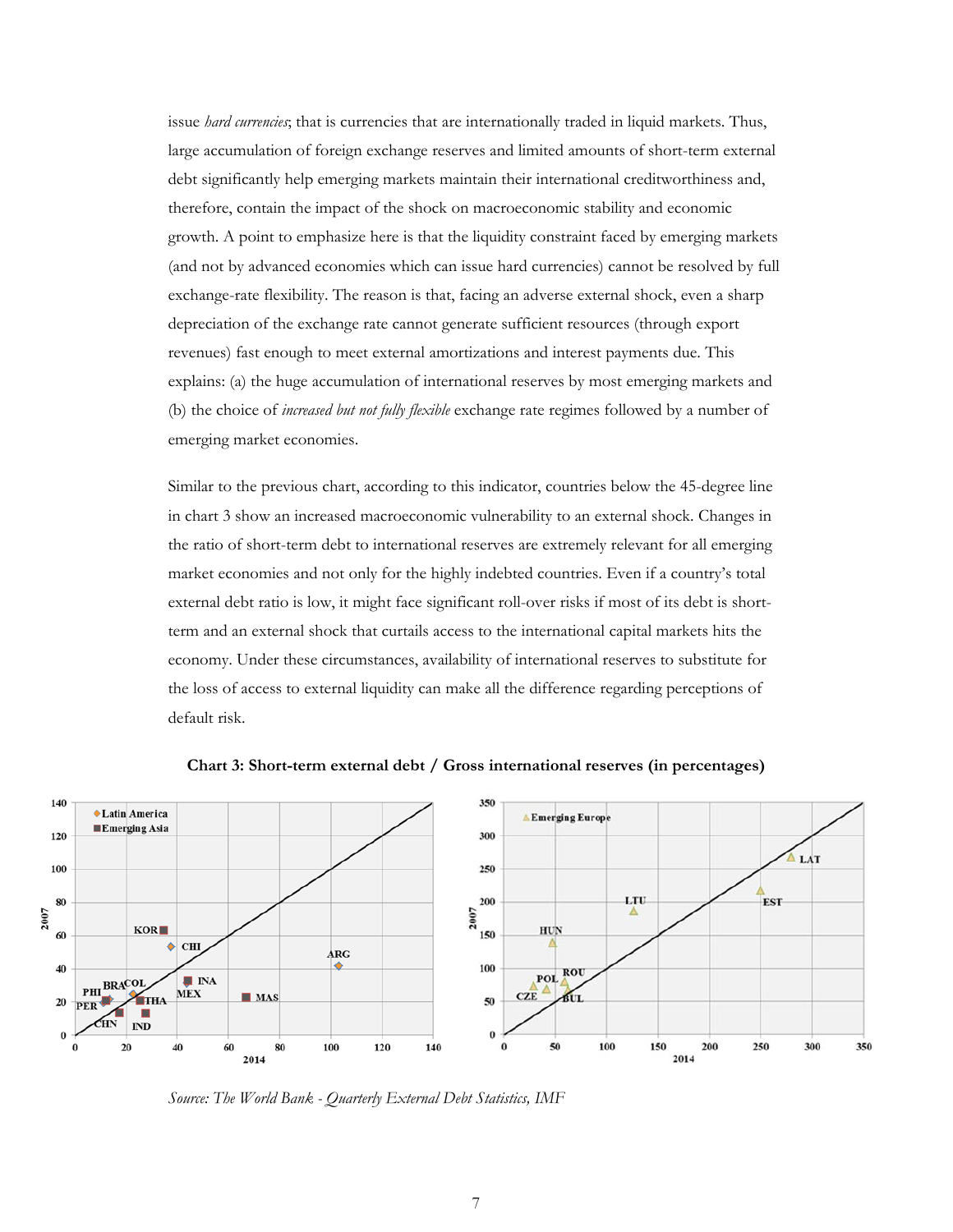issue *hard currencies*; that is currencies that are internationally traded in liquid markets. Thus, large accumulation of foreign exchange reserves and limited amounts of short-term external debt significantly help emerging markets maintain their international creditworthiness and, therefore, contain the impact of the shock on macroeconomic stability and economic growth. A point to emphasize here is that the liquidity constraint faced by emerging markets (and not by advanced economies which can issue hard currencies) cannot be resolved by full exchange-rate flexibility. The reason is that, facing an adverse external shock, even a sharp depreciation of the exchange rate cannot generate sufficient resources (through export revenues) fast enough to meet external amortizations and interest payments due. This explains: (a) the huge accumulation of international reserves by most emerging markets and (b) the choice of *increased but not fully flexible* exchange rate regimes followed by a number of emerging market economies.

Similar to the previous chart, according to this indicator, countries below the 45-degree line in chart 3 show an increased macroeconomic vulnerability to an external shock. Changes in the ratio of short-term debt to international reserves are extremely relevant for all emerging market economies and not only for the highly indebted countries. Even if a country's total external debt ratio is low, it might face significant roll-over risks if most of its debt is shortterm and an external shock that curtails access to the international capital markets hits the economy. Under these circumstances, availability of international reserves to substitute for the loss of access to external liquidity can make all the difference regarding perceptions of default risk.



**Chart 3: Short-term external debt / Gross international reserves (in percentages)** 

*Source: The World Bank - Quarterly External Debt Statistics, IMF*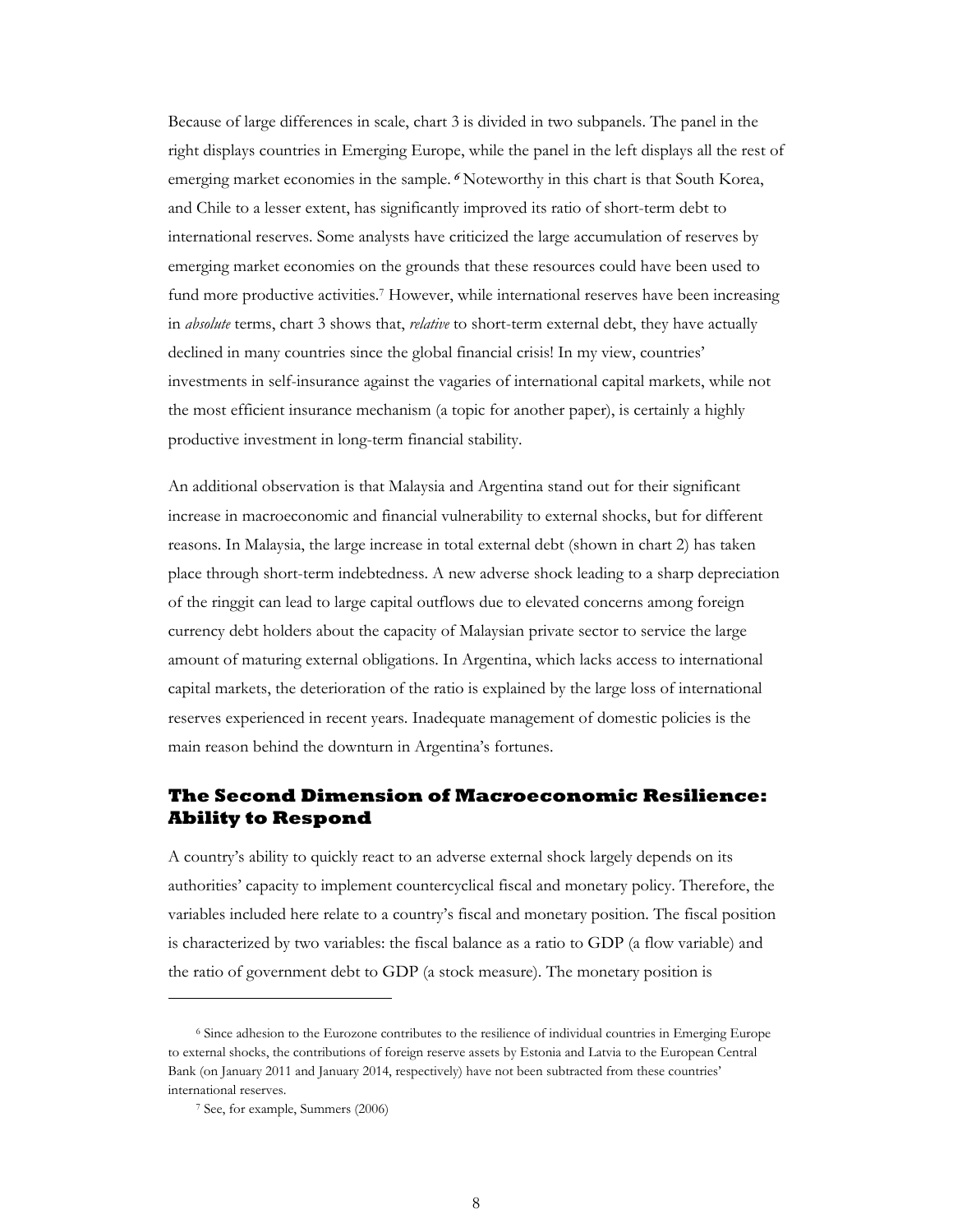Because of large differences in scale, chart 3 is divided in two subpanels. The panel in the right displays countries in Emerging Europe, while the panel in the left displays all the rest of emerging market economies in the sample. **6** Noteworthy in this chart is that South Korea, and Chile to a lesser extent, has significantly improved its ratio of short-term debt to international reserves. Some analysts have criticized the large accumulation of reserves by emerging market economies on the grounds that these resources could have been used to fund more productive activities.<sup>7</sup> However, while international reserves have been increasing in *absolute* terms, chart 3 shows that, *relative* to short-term external debt, they have actually declined in many countries since the global financial crisis! In my view, countries' investments in self-insurance against the vagaries of international capital markets, while not the most efficient insurance mechanism (a topic for another paper), is certainly a highly productive investment in long-term financial stability.

An additional observation is that Malaysia and Argentina stand out for their significant increase in macroeconomic and financial vulnerability to external shocks, but for different reasons. In Malaysia, the large increase in total external debt (shown in chart 2) has taken place through short-term indebtedness. A new adverse shock leading to a sharp depreciation of the ringgit can lead to large capital outflows due to elevated concerns among foreign currency debt holders about the capacity of Malaysian private sector to service the large amount of maturing external obligations. In Argentina, which lacks access to international capital markets, the deterioration of the ratio is explained by the large loss of international reserves experienced in recent years. Inadequate management of domestic policies is the main reason behind the downturn in Argentina's fortunes.

# **The Second Dimension of Macroeconomic Resilience: Ability to Respond**

A country's ability to quickly react to an adverse external shock largely depends on its authorities' capacity to implement countercyclical fiscal and monetary policy. Therefore, the variables included here relate to a country's fiscal and monetary position. The fiscal position is characterized by two variables: the fiscal balance as a ratio to GDP (a flow variable) and the ratio of government debt to GDP (a stock measure). The monetary position is

 $\ddot{\phantom{a}}$ 

<sup>6</sup> Since adhesion to the Eurozone contributes to the resilience of individual countries in Emerging Europe to external shocks, the contributions of foreign reserve assets by Estonia and Latvia to the European Central Bank (on January 2011 and January 2014, respectively) have not been subtracted from these countries' international reserves.

<sup>7</sup> See, for example, Summers (2006)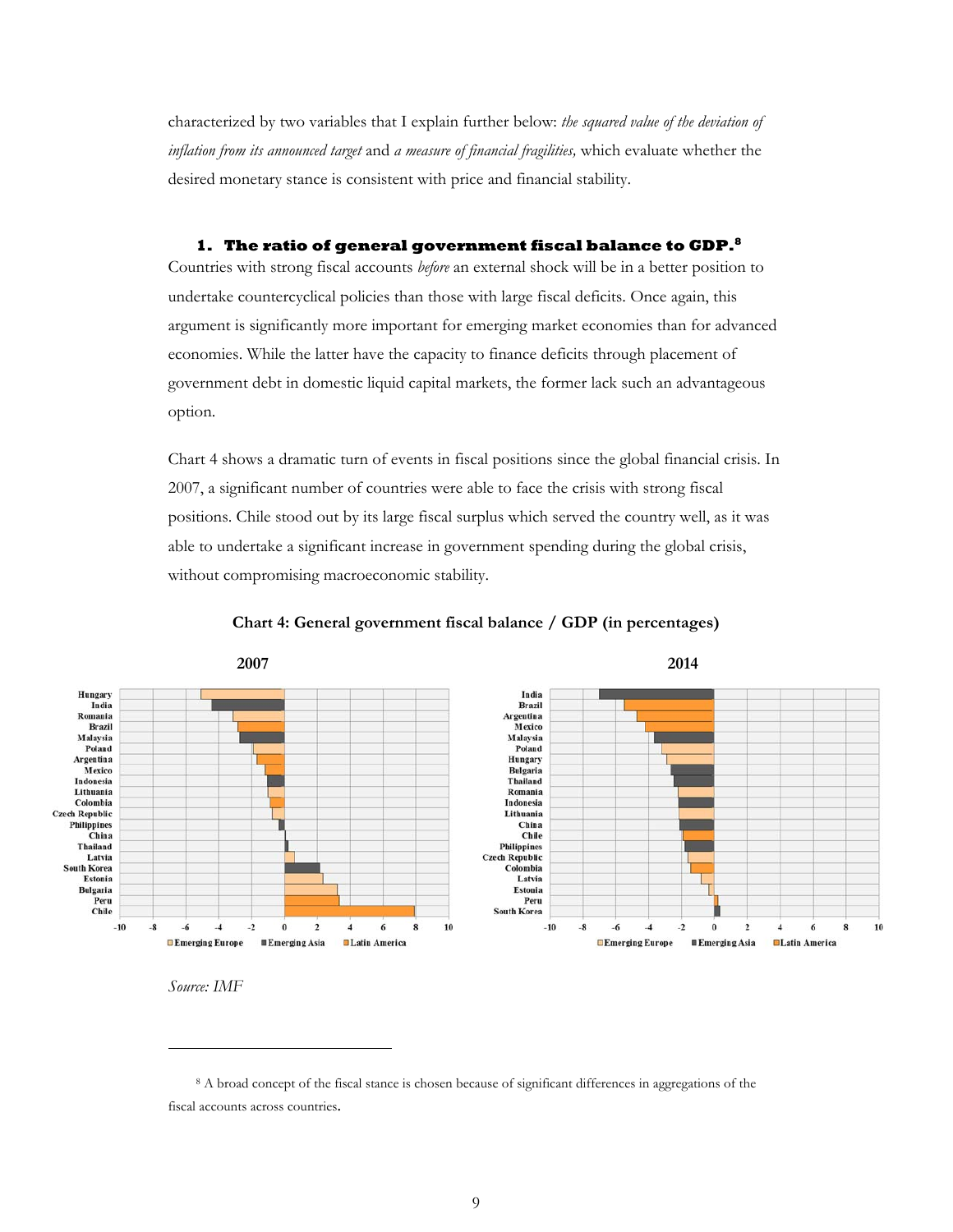characterized by two variables that I explain further below: *the squared value of the deviation of inflation from its announced target* and *a measure of financial fragilities,* which evaluate whether the desired monetary stance is consistent with price and financial stability.

#### **1. The ratio of general government fiscal balance to GDP.8**

Countries with strong fiscal accounts *before* an external shock will be in a better position to undertake countercyclical policies than those with large fiscal deficits. Once again, this argument is significantly more important for emerging market economies than for advanced economies. While the latter have the capacity to finance deficits through placement of government debt in domestic liquid capital markets, the former lack such an advantageous option.

Chart 4 shows a dramatic turn of events in fiscal positions since the global financial crisis. In 2007, a significant number of countries were able to face the crisis with strong fiscal positions. Chile stood out by its large fiscal surplus which served the country well, as it was able to undertake a significant increase in government spending during the global crisis, without compromising macroeconomic stability.



#### **Chart 4: General government fiscal balance / GDP (in percentages)**

*Source: IMF* 

<u>.</u>

<sup>8</sup> A broad concept of the fiscal stance is chosen because of significant differences in aggregations of the fiscal accounts across countries.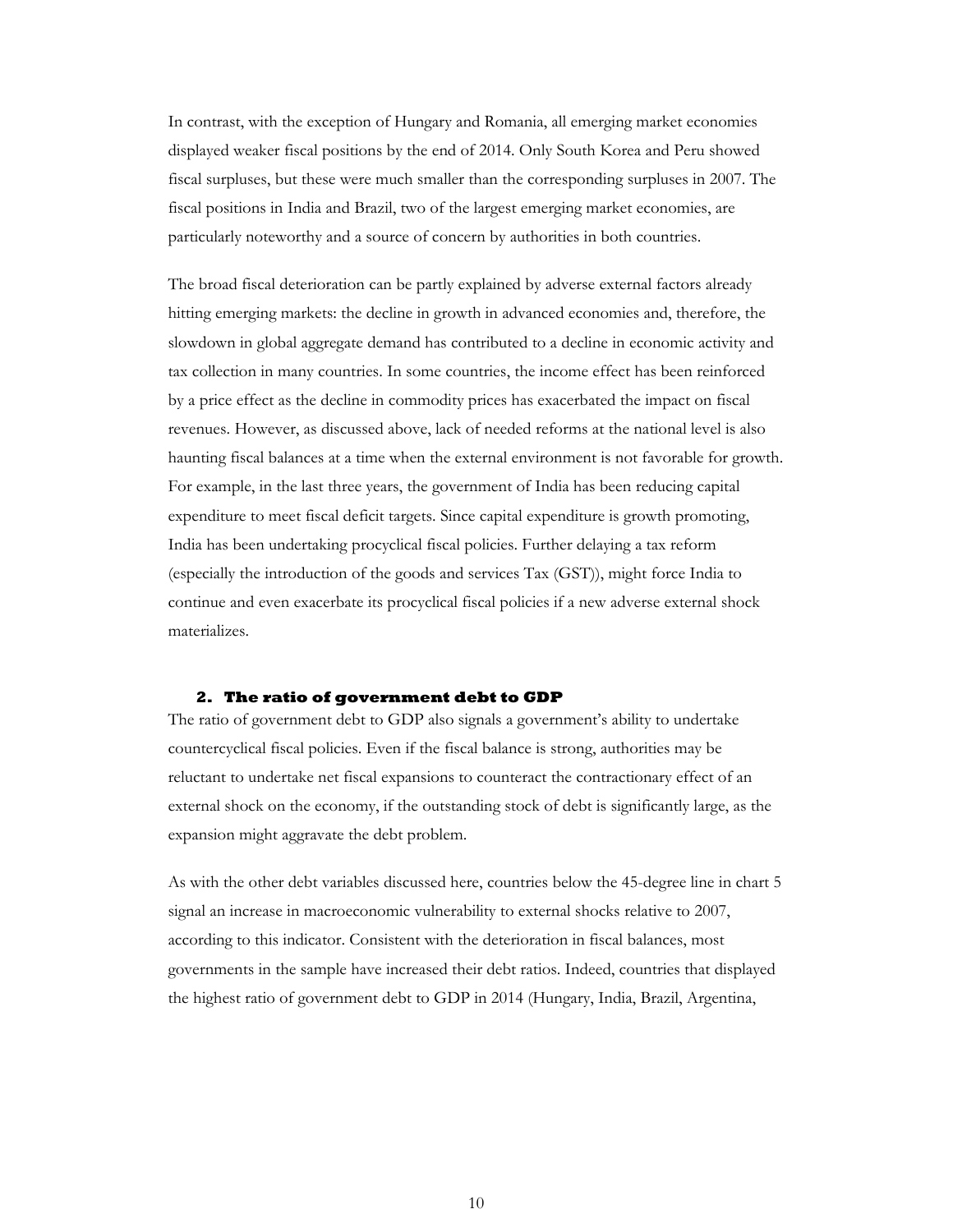In contrast, with the exception of Hungary and Romania, all emerging market economies displayed weaker fiscal positions by the end of 2014. Only South Korea and Peru showed fiscal surpluses, but these were much smaller than the corresponding surpluses in 2007. The fiscal positions in India and Brazil, two of the largest emerging market economies, are particularly noteworthy and a source of concern by authorities in both countries.

The broad fiscal deterioration can be partly explained by adverse external factors already hitting emerging markets: the decline in growth in advanced economies and, therefore, the slowdown in global aggregate demand has contributed to a decline in economic activity and tax collection in many countries. In some countries, the income effect has been reinforced by a price effect as the decline in commodity prices has exacerbated the impact on fiscal revenues. However, as discussed above, lack of needed reforms at the national level is also haunting fiscal balances at a time when the external environment is not favorable for growth. For example, in the last three years, the government of India has been reducing capital expenditure to meet fiscal deficit targets. Since capital expenditure is growth promoting, India has been undertaking procyclical fiscal policies. Further delaying a tax reform (especially the introduction of the goods and services Tax (GST)), might force India to continue and even exacerbate its procyclical fiscal policies if a new adverse external shock materializes.

#### **2. The ratio of government debt to GDP**

The ratio of government debt to GDP also signals a government's ability to undertake countercyclical fiscal policies. Even if the fiscal balance is strong, authorities may be reluctant to undertake net fiscal expansions to counteract the contractionary effect of an external shock on the economy, if the outstanding stock of debt is significantly large, as the expansion might aggravate the debt problem.

As with the other debt variables discussed here, countries below the 45-degree line in chart 5 signal an increase in macroeconomic vulnerability to external shocks relative to 2007, according to this indicator. Consistent with the deterioration in fiscal balances, most governments in the sample have increased their debt ratios. Indeed, countries that displayed the highest ratio of government debt to GDP in 2014 (Hungary, India, Brazil, Argentina,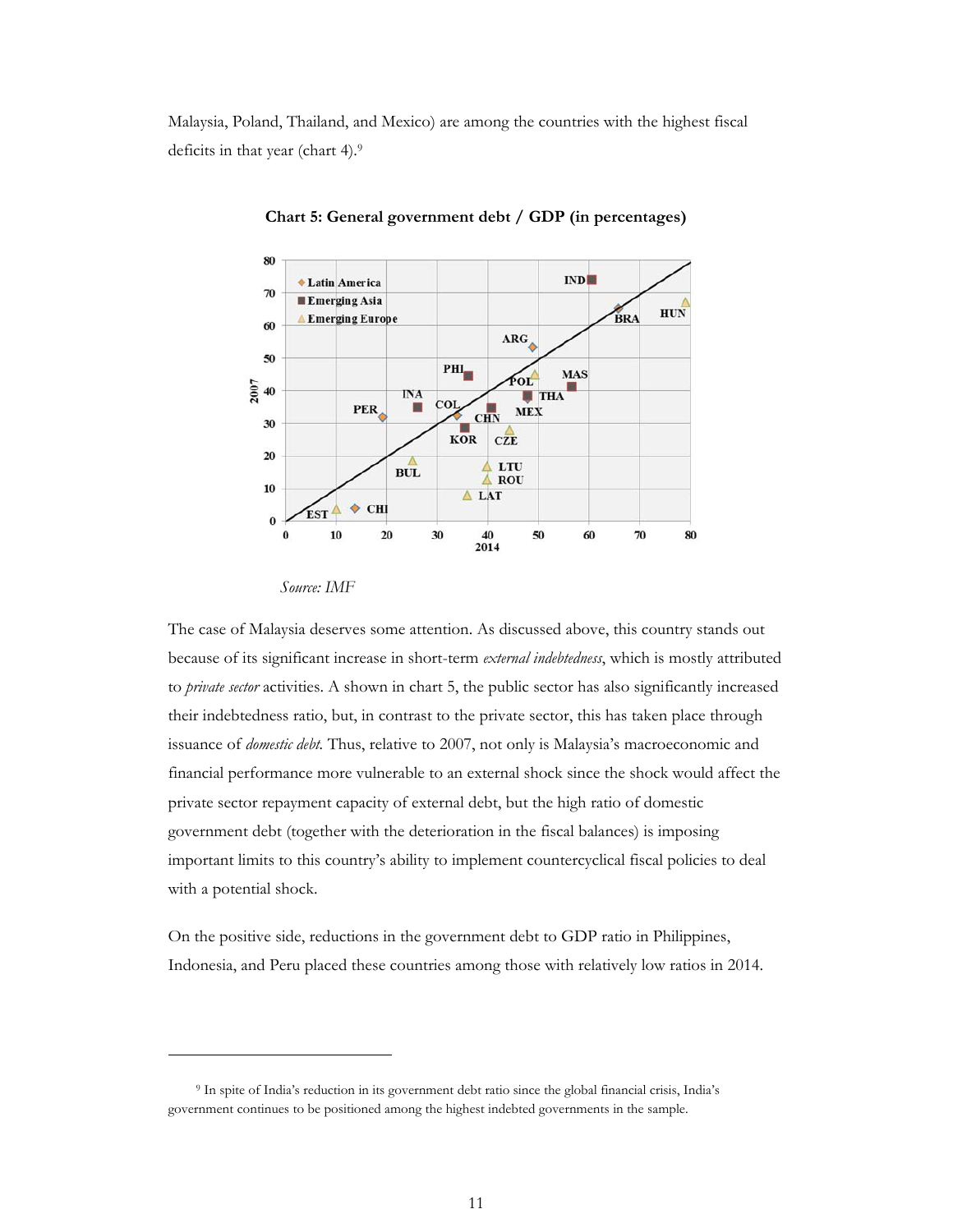Malaysia, Poland, Thailand, and Mexico) are among the countries with the highest fiscal deficits in that year (chart 4).9



**Chart 5: General government debt / GDP (in percentages)** 

 $\overline{a}$ 

The case of Malaysia deserves some attention. As discussed above, this country stands out because of its significant increase in short-term *external indebtedness*, which is mostly attributed to *private sector* activities. A shown in chart 5, the public sector has also significantly increased their indebtedness ratio, but, in contrast to the private sector, this has taken place through issuance of *domestic debt.* Thus, relative to 2007, not only is Malaysia's macroeconomic and financial performance more vulnerable to an external shock since the shock would affect the private sector repayment capacity of external debt, but the high ratio of domestic government debt (together with the deterioration in the fiscal balances) is imposing important limits to this country's ability to implement countercyclical fiscal policies to deal with a potential shock.

On the positive side, reductions in the government debt to GDP ratio in Philippines, Indonesia, and Peru placed these countries among those with relatively low ratios in 2014.

*Source: IMF* 

<sup>9</sup> In spite of India's reduction in its government debt ratio since the global financial crisis, India's government continues to be positioned among the highest indebted governments in the sample.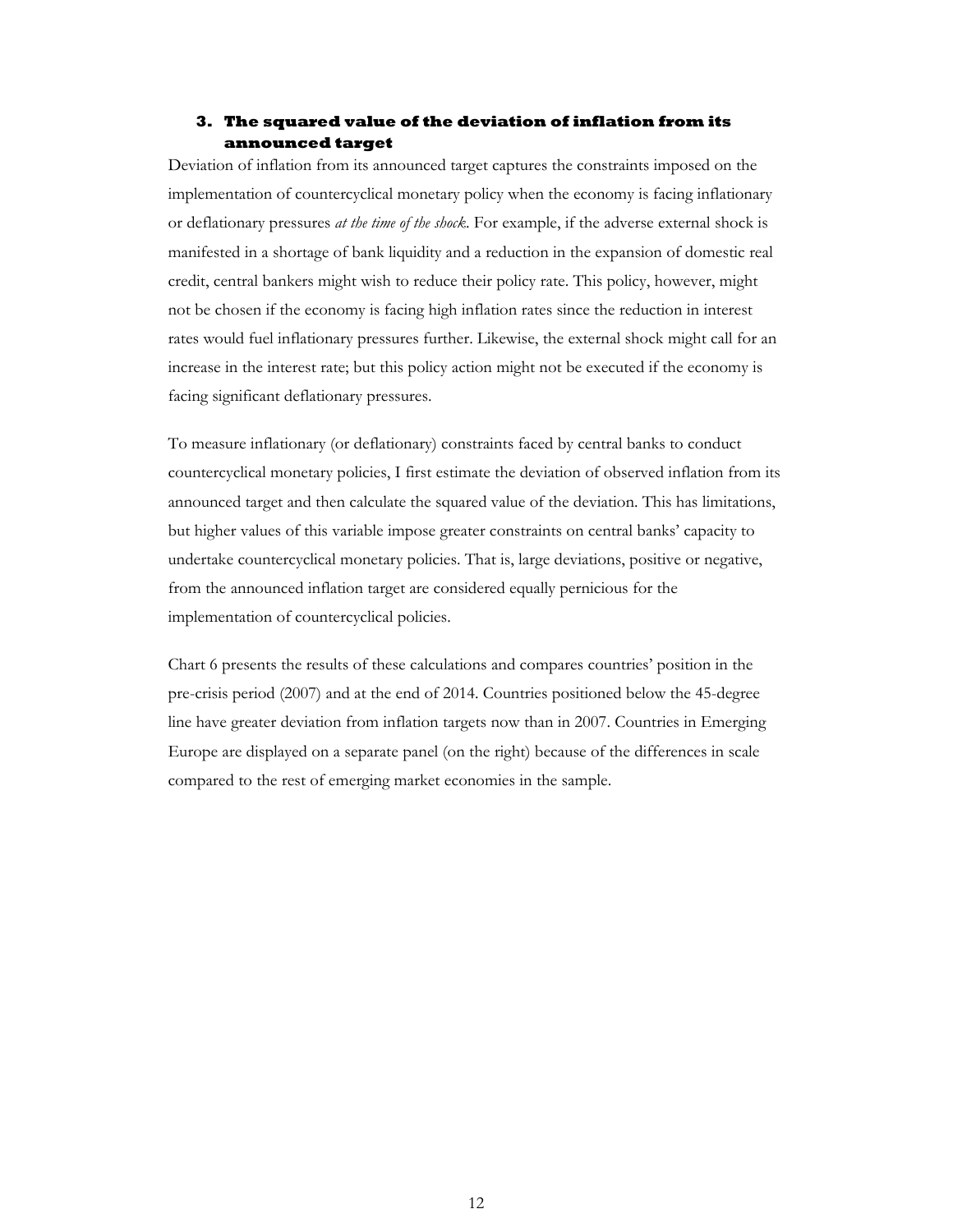### **3. The squared value of the deviation of inflation from its announced target**

Deviation of inflation from its announced target captures the constraints imposed on the implementation of countercyclical monetary policy when the economy is facing inflationary or deflationary pressures *at the time of the shock*. For example, if the adverse external shock is manifested in a shortage of bank liquidity and a reduction in the expansion of domestic real credit, central bankers might wish to reduce their policy rate. This policy, however, might not be chosen if the economy is facing high inflation rates since the reduction in interest rates would fuel inflationary pressures further. Likewise, the external shock might call for an increase in the interest rate; but this policy action might not be executed if the economy is facing significant deflationary pressures.

To measure inflationary (or deflationary) constraints faced by central banks to conduct countercyclical monetary policies, I first estimate the deviation of observed inflation from its announced target and then calculate the squared value of the deviation. This has limitations, but higher values of this variable impose greater constraints on central banks' capacity to undertake countercyclical monetary policies. That is, large deviations, positive or negative, from the announced inflation target are considered equally pernicious for the implementation of countercyclical policies.

Chart 6 presents the results of these calculations and compares countries' position in the pre-crisis period (2007) and at the end of 2014. Countries positioned below the 45-degree line have greater deviation from inflation targets now than in 2007. Countries in Emerging Europe are displayed on a separate panel (on the right) because of the differences in scale compared to the rest of emerging market economies in the sample.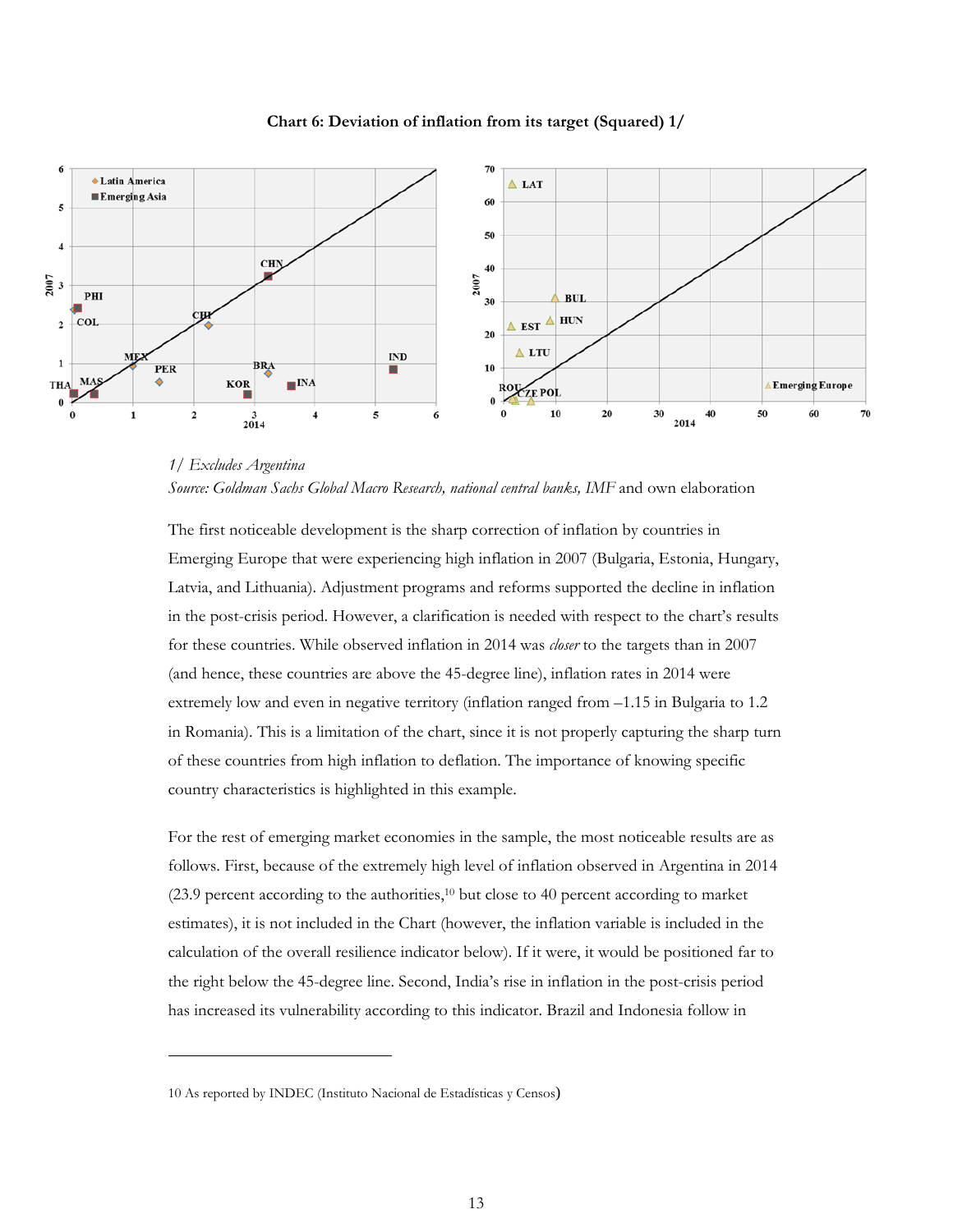#### **Chart 6: Deviation of inflation from its target (Squared) 1/**



*1/ Excludes Argentina Source: Goldman Sachs Global Macro Research, national central banks, IMF* and own elaboration

The first noticeable development is the sharp correction of inflation by countries in Emerging Europe that were experiencing high inflation in 2007 (Bulgaria, Estonia, Hungary, Latvia, and Lithuania). Adjustment programs and reforms supported the decline in inflation in the post-crisis period. However, a clarification is needed with respect to the chart's results for these countries. While observed inflation in 2014 was *closer* to the targets than in 2007 (and hence, these countries are above the 45-degree line), inflation rates in 2014 were extremely low and even in negative territory (inflation ranged from –1.15 in Bulgaria to 1.2 in Romania). This is a limitation of the chart, since it is not properly capturing the sharp turn of these countries from high inflation to deflation. The importance of knowing specific country characteristics is highlighted in this example.

For the rest of emerging market economies in the sample, the most noticeable results are as follows. First, because of the extremely high level of inflation observed in Argentina in 2014 (23.9 percent according to the authorities,10 but close to 40 percent according to market estimates), it is not included in the Chart (however, the inflation variable is included in the calculation of the overall resilience indicator below). If it were, it would be positioned far to the right below the 45-degree line. Second, India's rise in inflation in the post-crisis period has increased its vulnerability according to this indicator. Brazil and Indonesia follow in

 $\overline{a}$ 

<sup>10</sup> As reported by INDEC (Instituto Nacional de Estadísticas y Censos)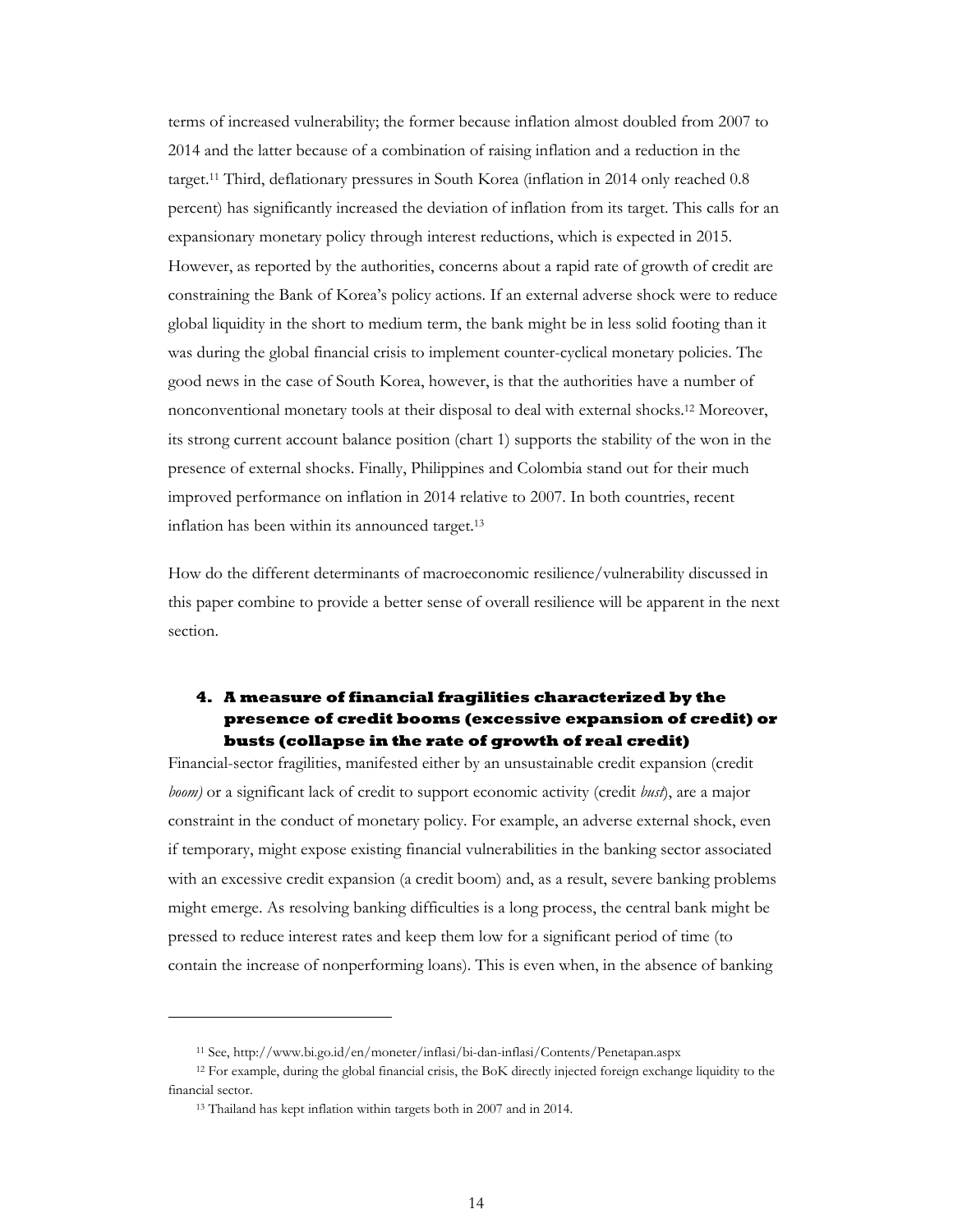terms of increased vulnerability; the former because inflation almost doubled from 2007 to 2014 and the latter because of a combination of raising inflation and a reduction in the target.11 Third, deflationary pressures in South Korea (inflation in 2014 only reached 0.8 percent) has significantly increased the deviation of inflation from its target. This calls for an expansionary monetary policy through interest reductions, which is expected in 2015. However, as reported by the authorities, concerns about a rapid rate of growth of credit are constraining the Bank of Korea's policy actions. If an external adverse shock were to reduce global liquidity in the short to medium term, the bank might be in less solid footing than it was during the global financial crisis to implement counter-cyclical monetary policies. The good news in the case of South Korea, however, is that the authorities have a number of nonconventional monetary tools at their disposal to deal with external shocks.12 Moreover, its strong current account balance position (chart 1) supports the stability of the won in the presence of external shocks. Finally, Philippines and Colombia stand out for their much improved performance on inflation in 2014 relative to 2007. In both countries, recent inflation has been within its announced target.13

How do the different determinants of macroeconomic resilience/vulnerability discussed in this paper combine to provide a better sense of overall resilience will be apparent in the next section.

## **4. A measure of financial fragilities characterized by the presence of credit booms (excessive expansion of credit) or busts (collapse in the rate of growth of real credit)**

Financial-sector fragilities, manifested either by an unsustainable credit expansion (credit *boom)* or a significant lack of credit to support economic activity (credit *bust*), are a major constraint in the conduct of monetary policy. For example, an adverse external shock, even if temporary, might expose existing financial vulnerabilities in the banking sector associated with an excessive credit expansion (a credit boom) and, as a result, severe banking problems might emerge. As resolving banking difficulties is a long process, the central bank might be pressed to reduce interest rates and keep them low for a significant period of time (to contain the increase of nonperforming loans). This is even when, in the absence of banking

<u>.</u>

<sup>11</sup> See, http://www.bi.go.id/en/moneter/inflasi/bi-dan-inflasi/Contents/Penetapan.aspx

<sup>12</sup> For example, during the global financial crisis, the BoK directly injected foreign exchange liquidity to the financial sector.

<sup>13</sup> Thailand has kept inflation within targets both in 2007 and in 2014.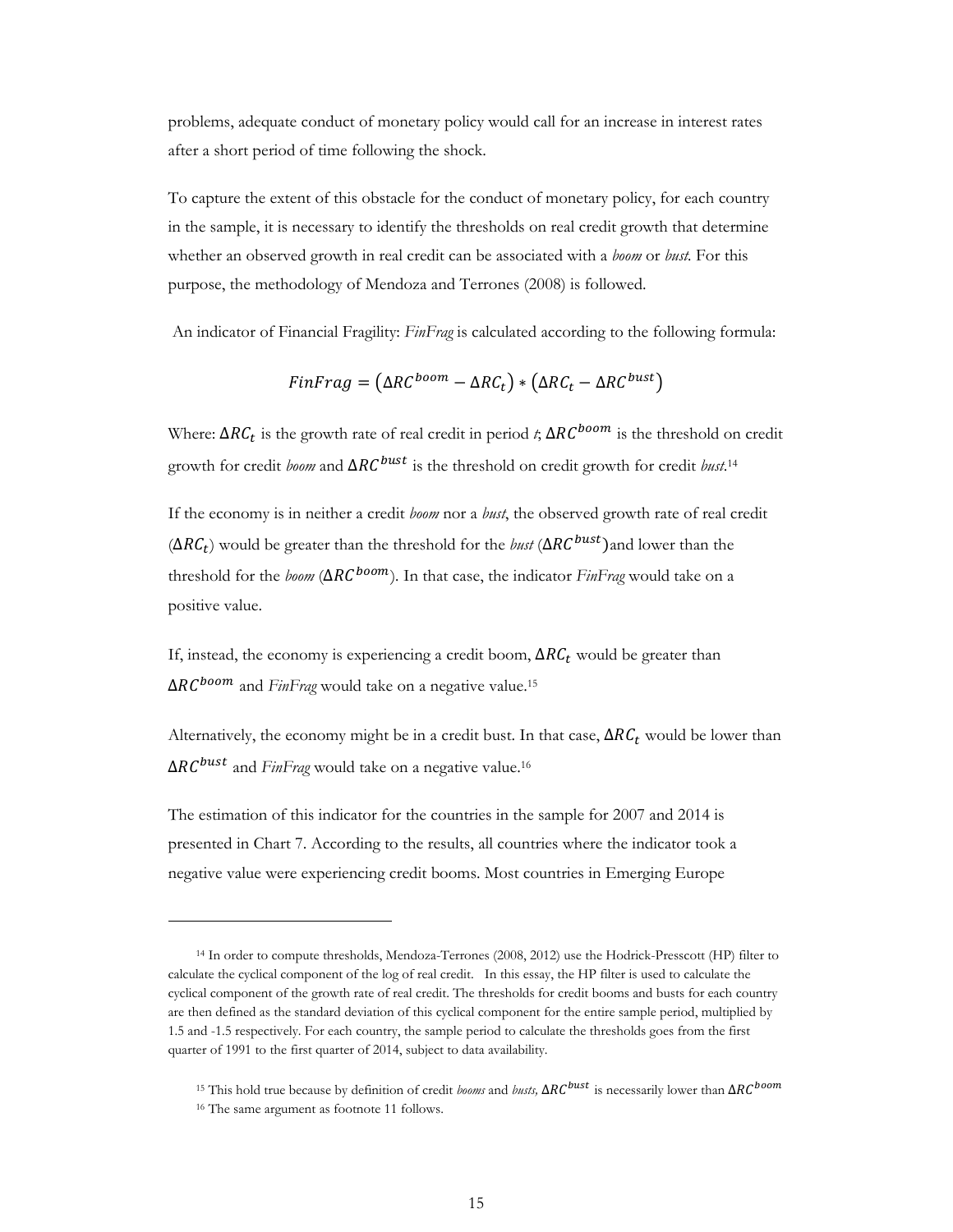problems, adequate conduct of monetary policy would call for an increase in interest rates after a short period of time following the shock.

To capture the extent of this obstacle for the conduct of monetary policy, for each country in the sample, it is necessary to identify the thresholds on real credit growth that determine whether an observed growth in real credit can be associated with a *boom* or *bust.* For this purpose, the methodology of Mendoza and Terrones (2008) is followed.

An indicator of Financial Fragility: *FinFrag* is calculated according to the following formula:

$$
FinFrag = (\Delta RC^{boom} - \Delta RC_t) * (\Delta RC_t - \Delta RC^{burst})
$$

Where:  $\Delta RC_t$  is the growth rate of real credit in period *t*;  $\Delta RC^{boom}$  is the threshold on credit growth for credit *boom* and ΔRC<sup>bust</sup> is the threshold on credit growth for credit *bust*.<sup>14</sup>

If the economy is in neither a credit *boom* nor a *bust*, the observed growth rate of real credit  $(\Delta RC_t)$  would be greater than the threshold for the *bust* ( $\Delta RC^{burst}$ ) and lower than the threshold for the *boom*  $(\Delta RC^{boom})$ . In that case, the indicator *FinFrag* would take on a positive value.

If, instead, the economy is experiencing a credit boom,  $\Delta RC_t$  would be greater than  $\Delta RC^{boom}$  and *FinFrag* would take on a negative value.<sup>15</sup>

Alternatively, the economy might be in a credit bust. In that case,  $\Delta RC_t$  would be lower than  $\Delta RC^{burst}$  and *FinFrag* would take on a negative value.<sup>16</sup>

The estimation of this indicator for the countries in the sample for 2007 and 2014 is presented in Chart 7. According to the results, all countries where the indicator took a negative value were experiencing credit booms. Most countries in Emerging Europe

 $\ddot{\phantom{a}}$ 

<sup>14</sup> In order to compute thresholds, Mendoza-Terrones (2008, 2012) use the Hodrick-Presscott (HP) filter to calculate the cyclical component of the log of real credit. In this essay, the HP filter is used to calculate the cyclical component of the growth rate of real credit. The thresholds for credit booms and busts for each country are then defined as the standard deviation of this cyclical component for the entire sample period, multiplied by 1.5 and -1.5 respectively. For each country, the sample period to calculate the thresholds goes from the first quarter of 1991 to the first quarter of 2014, subject to data availability.

<sup>&</sup>lt;sup>15</sup> This hold true because by definition of credit *booms* and *busts*, **ΔRC**<sup>bust</sup> is necessarily lower than **ΔRC**<sup>boom</sup>

<sup>16</sup> The same argument as footnote 11 follows.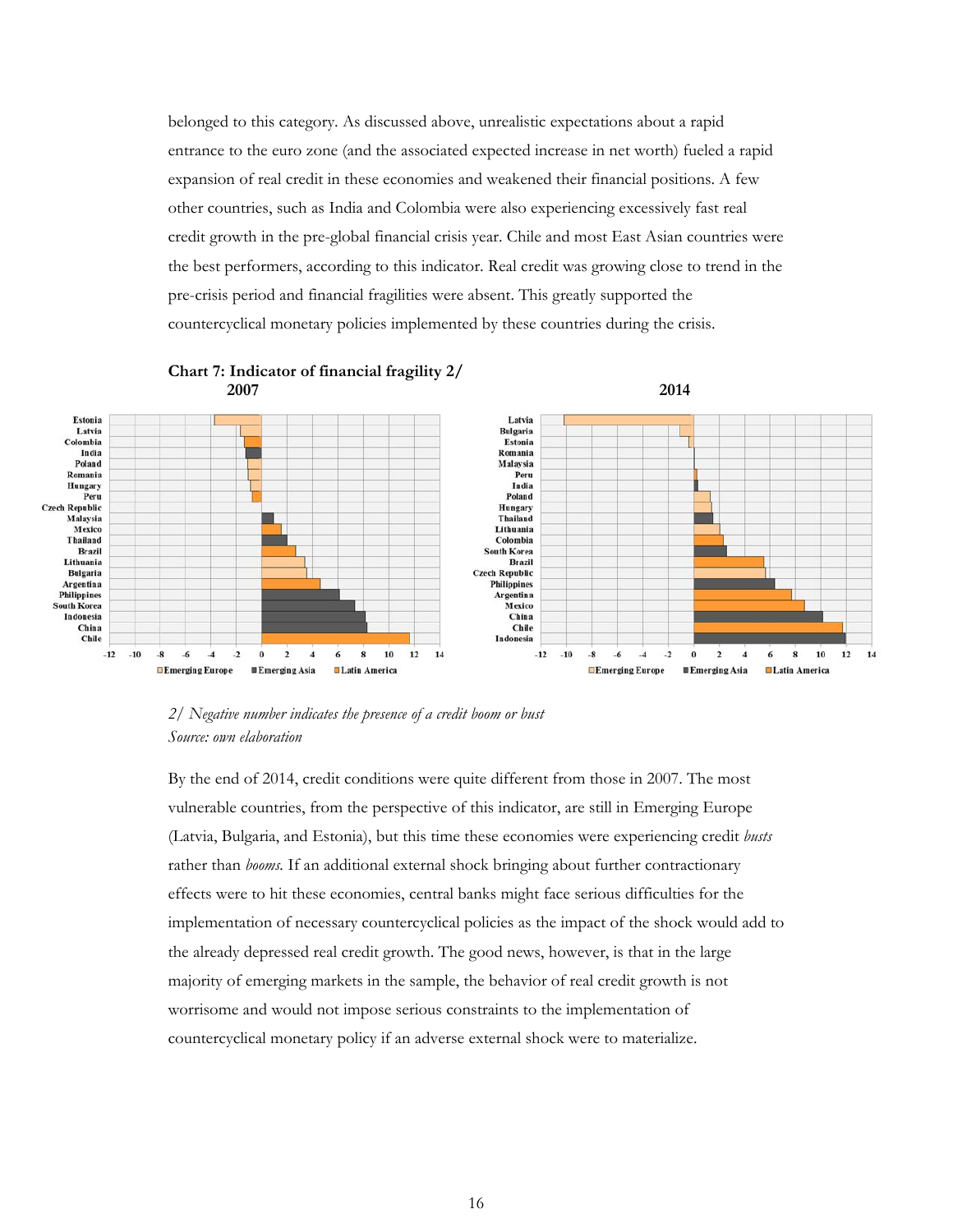belonged to this category. As discussed above, unrealistic expectations about a rapid entrance to the euro zone (and the associated expected increase in net worth) fueled a rapid expansion of real credit in these economies and weakened their financial positions. A few other countries, such as India and Colombia were also experiencing excessively fast real credit growth in the pre-global financial crisis year. Chile and most East Asian countries were the best performers, according to this indicator. Real credit was growing close to trend in the pre-crisis period and financial fragilities were absent. This greatly supported the countercyclical monetary policies implemented by these countries during the crisis.



### *2/ Negative number indicates the presence of a credit boom or bust Source: own elaboration*

By the end of 2014, credit conditions were quite different from those in 2007. The most vulnerable countries, from the perspective of this indicator, are still in Emerging Europe (Latvia, Bulgaria, and Estonia), but this time these economies were experiencing credit *busts* rather than *booms.* If an additional external shock bringing about further contractionary effects were to hit these economies, central banks might face serious difficulties for the implementation of necessary countercyclical policies as the impact of the shock would add to the already depressed real credit growth. The good news, however, is that in the large majority of emerging markets in the sample, the behavior of real credit growth is not worrisome and would not impose serious constraints to the implementation of countercyclical monetary policy if an adverse external shock were to materialize.

16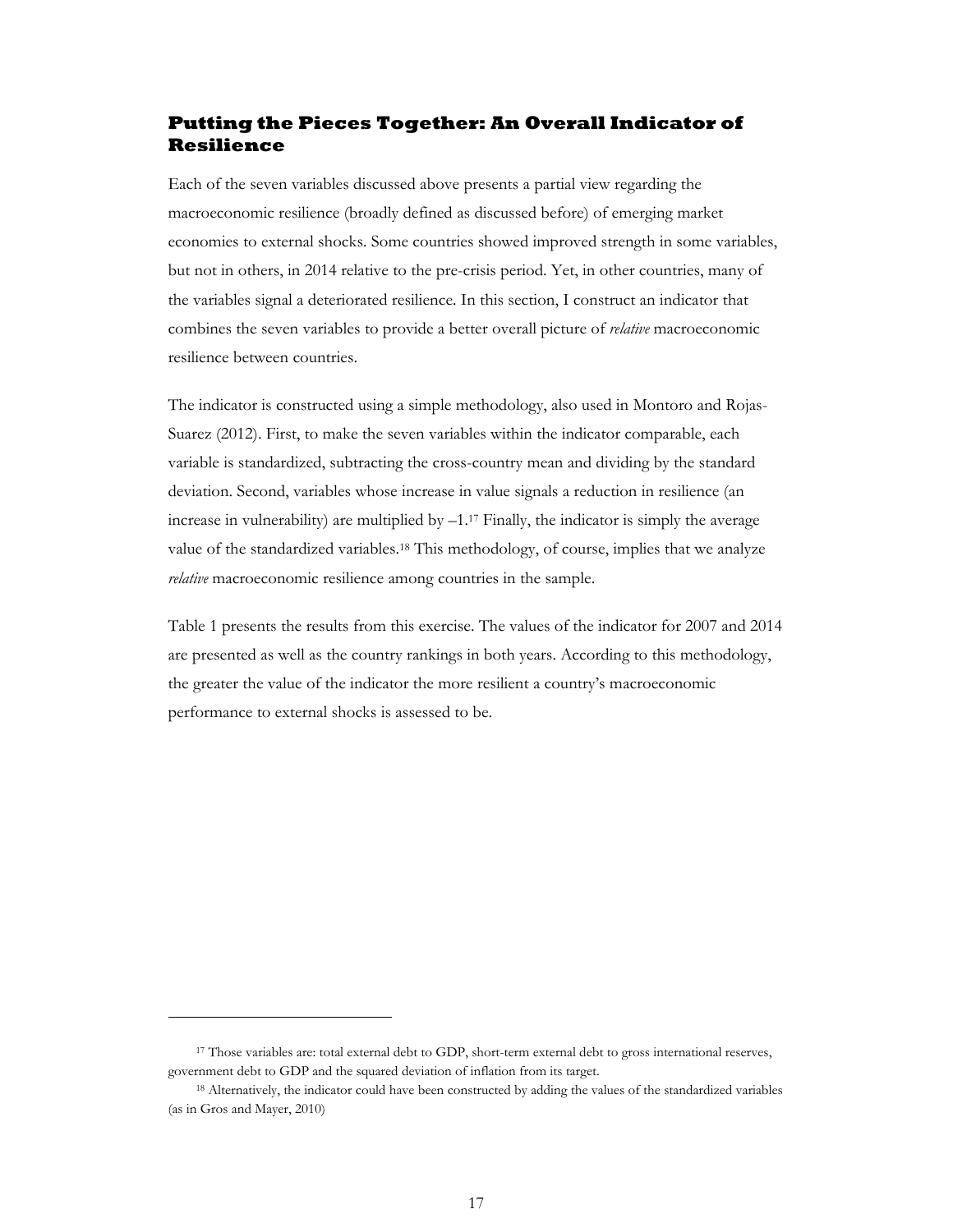# **Putting the Pieces Together: An Overall Indicator of Resilience**

Each of the seven variables discussed above presents a partial view regarding the macroeconomic resilience (broadly defined as discussed before) of emerging market economies to external shocks. Some countries showed improved strength in some variables, but not in others, in 2014 relative to the pre-crisis period. Yet, in other countries, many of the variables signal a deteriorated resilience. In this section, I construct an indicator that combines the seven variables to provide a better overall picture of *relative* macroeconomic resilience between countries.

The indicator is constructed using a simple methodology, also used in Montoro and Rojas-Suarez (2012). First, to make the seven variables within the indicator comparable, each variable is standardized, subtracting the cross-country mean and dividing by the standard deviation. Second, variables whose increase in value signals a reduction in resilience (an increase in vulnerability) are multiplied by  $-1.17$  Finally, the indicator is simply the average value of the standardized variables.18 This methodology, of course, implies that we analyze *relative* macroeconomic resilience among countries in the sample.

Table 1 presents the results from this exercise. The values of the indicator for 2007 and 2014 are presented as well as the country rankings in both years. According to this methodology, the greater the value of the indicator the more resilient a country's macroeconomic performance to external shocks is assessed to be.

<u>.</u>

<sup>17</sup> Those variables are: total external debt to GDP, short-term external debt to gross international reserves, government debt to GDP and the squared deviation of inflation from its target.

<sup>18</sup> Alternatively, the indicator could have been constructed by adding the values of the standardized variables (as in Gros and Mayer, 2010)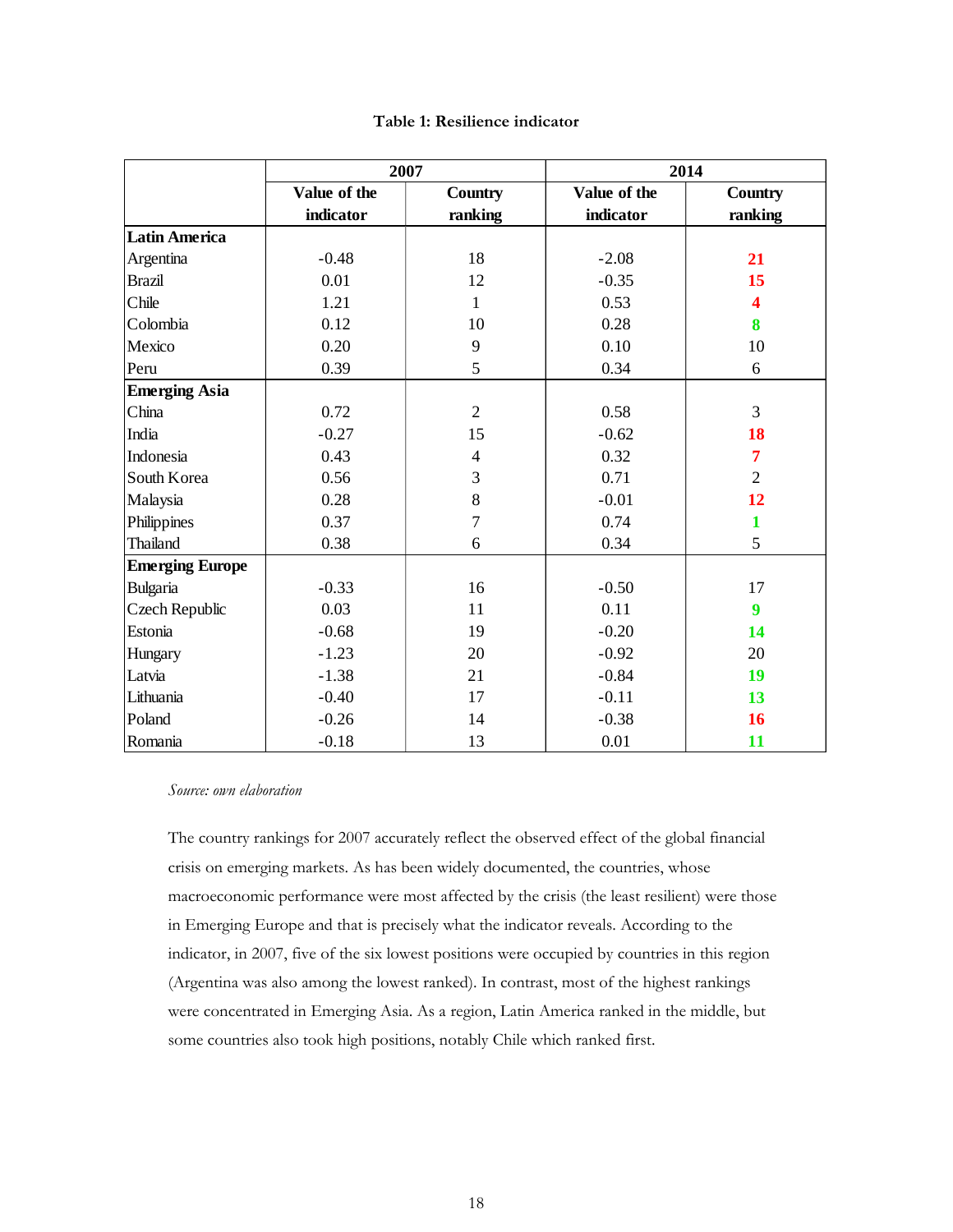|                        | 2007         |                | 2014         |                         |
|------------------------|--------------|----------------|--------------|-------------------------|
|                        | Value of the | <b>Country</b> | Value of the | <b>Country</b>          |
|                        | indicator    | ranking        | indicator    | ranking                 |
| <b>Latin America</b>   |              |                |              |                         |
| Argentina              | $-0.48$      | 18             | $-2.08$      | 21                      |
| <b>Brazil</b>          | 0.01         | 12             | $-0.35$      | 15                      |
| Chile                  | 1.21         | 1              | 0.53         | $\overline{\mathbf{4}}$ |
| Colombia               | 0.12         | 10             | 0.28         | 8                       |
| Mexico                 | 0.20         | 9              | 0.10         | 10                      |
| Peru                   | 0.39         | 5              | 0.34         | 6                       |
| <b>Emerging Asia</b>   |              |                |              |                         |
| China                  | 0.72         | $\overline{2}$ | 0.58         | 3                       |
| India                  | $-0.27$      | 15             | $-0.62$      | 18                      |
| Indonesia              | 0.43         | $\overline{4}$ | 0.32         | $\overline{7}$          |
| South Korea            | 0.56         | 3              | 0.71         | $\overline{2}$          |
| Malaysia               | 0.28         | 8              | $-0.01$      | 12                      |
| Philippines            | 0.37         | $\overline{7}$ | 0.74         | $\mathbf{1}$            |
| Thailand               | 0.38         | 6              | 0.34         | 5                       |
| <b>Emerging Europe</b> |              |                |              |                         |
| <b>Bulgaria</b>        | $-0.33$      | 16             | $-0.50$      | 17                      |
| Czech Republic         | 0.03         | 11             | 0.11         | $\overline{9}$          |
| Estonia                | $-0.68$      | 19             | $-0.20$      | 14                      |
| Hungary                | $-1.23$      | 20             | $-0.92$      | 20                      |
| Latvia                 | $-1.38$      | 21             | $-0.84$      | 19                      |
| Lithuania              | $-0.40$      | 17             | $-0.11$      | 13                      |
| Poland                 | $-0.26$      | 14             | $-0.38$      | 16                      |
| Romania                | $-0.18$      | 13             | 0.01         | 11                      |

### **Table 1: Resilience indicator**

### *Source: own elaboration*

The country rankings for 2007 accurately reflect the observed effect of the global financial crisis on emerging markets. As has been widely documented, the countries, whose macroeconomic performance were most affected by the crisis (the least resilient) were those in Emerging Europe and that is precisely what the indicator reveals. According to the indicator, in 2007, five of the six lowest positions were occupied by countries in this region (Argentina was also among the lowest ranked). In contrast, most of the highest rankings were concentrated in Emerging Asia. As a region, Latin America ranked in the middle, but some countries also took high positions, notably Chile which ranked first.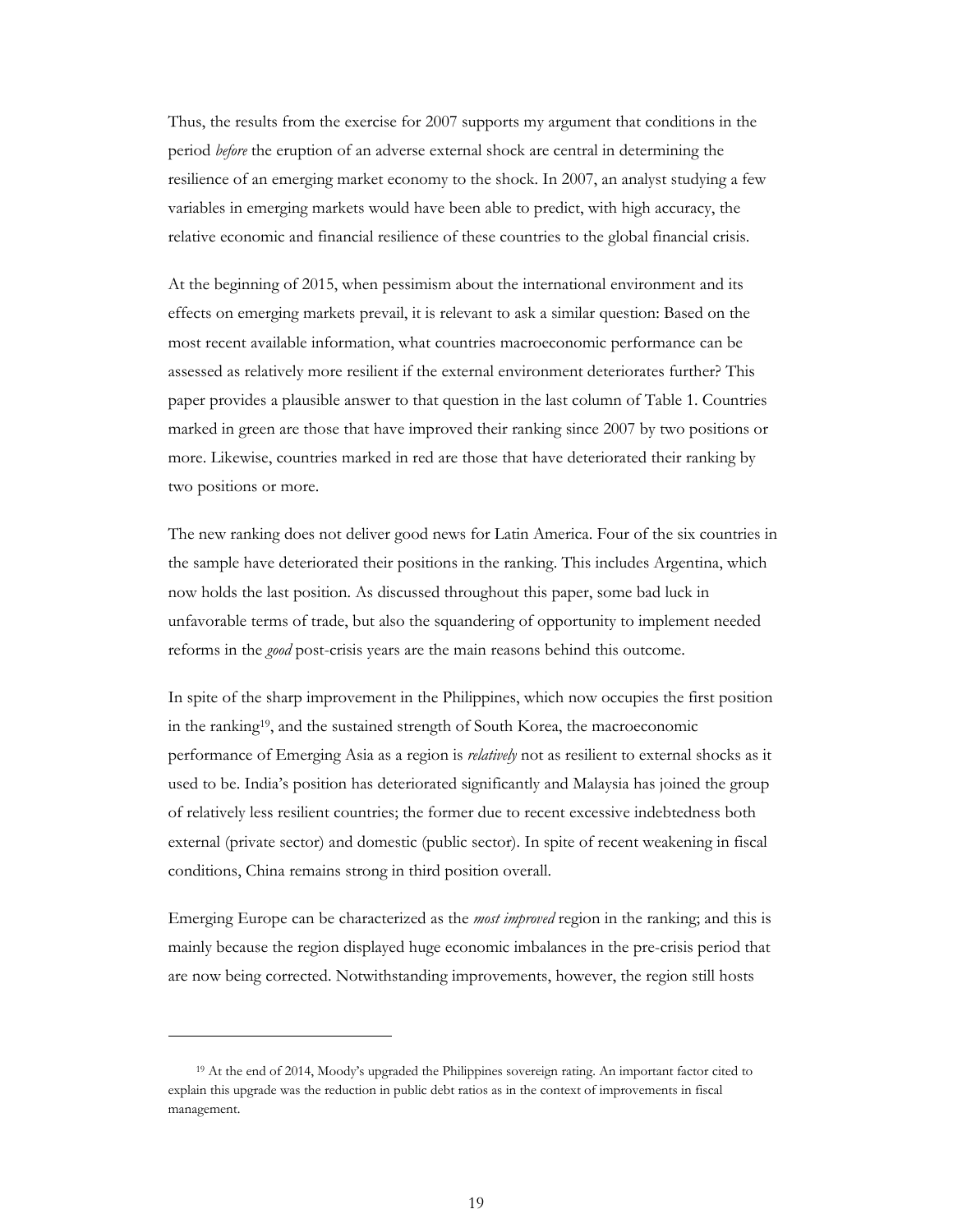Thus, the results from the exercise for 2007 supports my argument that conditions in the period *before* the eruption of an adverse external shock are central in determining the resilience of an emerging market economy to the shock. In 2007, an analyst studying a few variables in emerging markets would have been able to predict, with high accuracy, the relative economic and financial resilience of these countries to the global financial crisis.

At the beginning of 2015, when pessimism about the international environment and its effects on emerging markets prevail, it is relevant to ask a similar question: Based on the most recent available information, what countries macroeconomic performance can be assessed as relatively more resilient if the external environment deteriorates further? This paper provides a plausible answer to that question in the last column of Table 1. Countries marked in green are those that have improved their ranking since 2007 by two positions or more. Likewise, countries marked in red are those that have deteriorated their ranking by two positions or more.

The new ranking does not deliver good news for Latin America. Four of the six countries in the sample have deteriorated their positions in the ranking. This includes Argentina, which now holds the last position. As discussed throughout this paper, some bad luck in unfavorable terms of trade, but also the squandering of opportunity to implement needed reforms in the *good* post-crisis years are the main reasons behind this outcome.

In spite of the sharp improvement in the Philippines, which now occupies the first position in the ranking19, and the sustained strength of South Korea, the macroeconomic performance of Emerging Asia as a region is *relatively* not as resilient to external shocks as it used to be. India's position has deteriorated significantly and Malaysia has joined the group of relatively less resilient countries; the former due to recent excessive indebtedness both external (private sector) and domestic (public sector). In spite of recent weakening in fiscal conditions, China remains strong in third position overall.

Emerging Europe can be characterized as the *most improved* region in the ranking; and this is mainly because the region displayed huge economic imbalances in the pre-crisis period that are now being corrected. Notwithstanding improvements, however, the region still hosts

<u>.</u>

<sup>&</sup>lt;sup>19</sup> At the end of 2014, Moody's upgraded the Philippines sovereign rating. An important factor cited to explain this upgrade was the reduction in public debt ratios as in the context of improvements in fiscal management.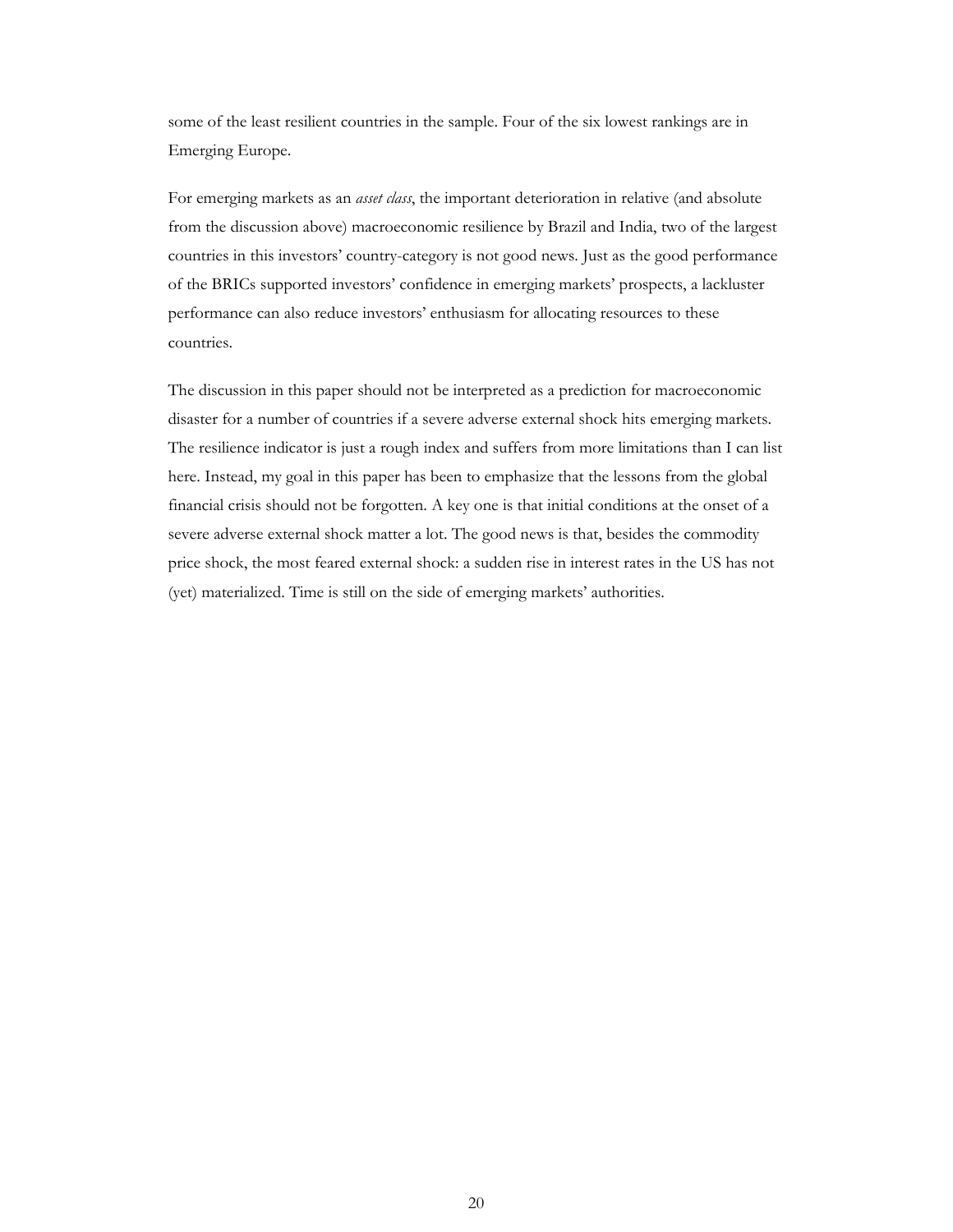some of the least resilient countries in the sample. Four of the six lowest rankings are in Emerging Europe.

For emerging markets as an *asset class*, the important deterioration in relative (and absolute from the discussion above) macroeconomic resilience by Brazil and India, two of the largest countries in this investors' country-category is not good news. Just as the good performance of the BRICs supported investors' confidence in emerging markets' prospects, a lackluster performance can also reduce investors' enthusiasm for allocating resources to these countries.

The discussion in this paper should not be interpreted as a prediction for macroeconomic disaster for a number of countries if a severe adverse external shock hits emerging markets. The resilience indicator is just a rough index and suffers from more limitations than I can list here. Instead, my goal in this paper has been to emphasize that the lessons from the global financial crisis should not be forgotten. A key one is that initial conditions at the onset of a severe adverse external shock matter a lot. The good news is that, besides the commodity price shock, the most feared external shock: a sudden rise in interest rates in the US has not (yet) materialized. Time is still on the side of emerging markets' authorities.